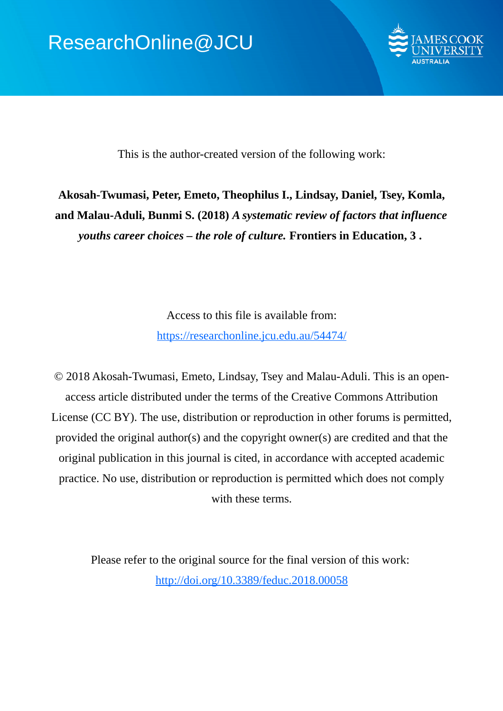

This is the author-created version of the following work:

# **Akosah-Twumasi, Peter, Emeto, Theophilus I., Lindsay, Daniel, Tsey, Komla, and Malau-Aduli, Bunmi S. (2018)** *A systematic review of factors that influence youths career choices – the role of culture.* **Frontiers in Education, 3 .**

Access to this file is available from: https://researchonline.jcu.edu.au/54474/

© 2018 Akosah-Twumasi, Emeto, Lindsay, Tsey and Malau-Aduli. This is an openaccess article distributed under the terms of the Creative Commons Attribution License (CC BY). The use, distribution or reproduction in other forums is permitted, provided the original author(s) and the copyright owner(s) are credited and that the original publication in this journal is cited, in accordance with accepted academic practice. No use, distribution or reproduction is permitted which does not comply with these terms.

Please refer to the original source for the final version of this work: http://doi.org/10.3389/feduc.2018.00058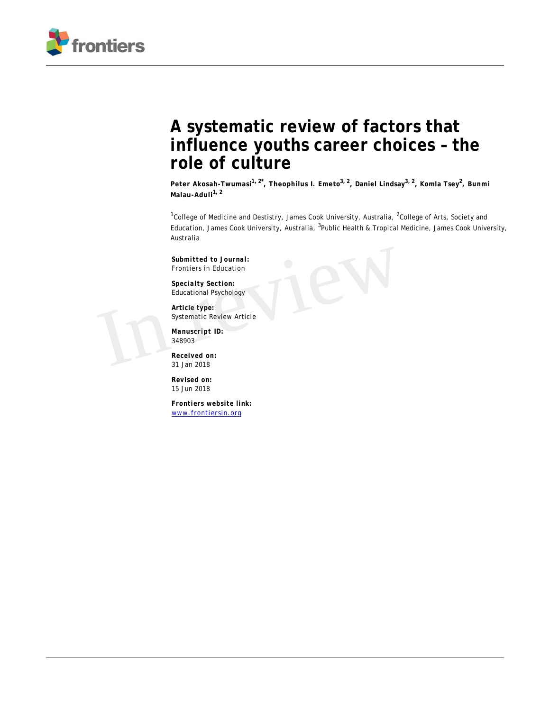

# **A systematic review of factors that influence youths career choices – the role of culture**

**Peter Akosah-Twumasi1, 2\*, Theophilus I. Emeto3, 2, Daniel Lindsay3, 2, Komla Tsey<sup>2</sup> , Bunmi Malau-Aduli1, 2**

<sup>1</sup>College of Medicine and Destistry, James Cook University, Australia, <sup>2</sup>College of Arts, Society and Education, James Cook University, Australia, <sup>3</sup>Public Health & Tropical Medicine, James Cook University, Australia

*Submitted to Journal:* Frontiers in Education

*Specialty Section:* Educational Psychology

*Article type:* Systematic Review Article Submitted to Journal:<br>
Frontiers in Education<br>
Specialty Section:<br>
Educational Psychology<br>
Article type:<br>
Systematic Review Article<br>
Manuscript ID:<br>
348903<br>
Received on:<br>
31 lan 2018

*Manuscript ID:* 348903

*Received on:* 31 Jan 2018

*Revised on:* 15 Jun 2018

*Frontiers website link:* [www.frontiersin.org](http://www.frontiersin.org/)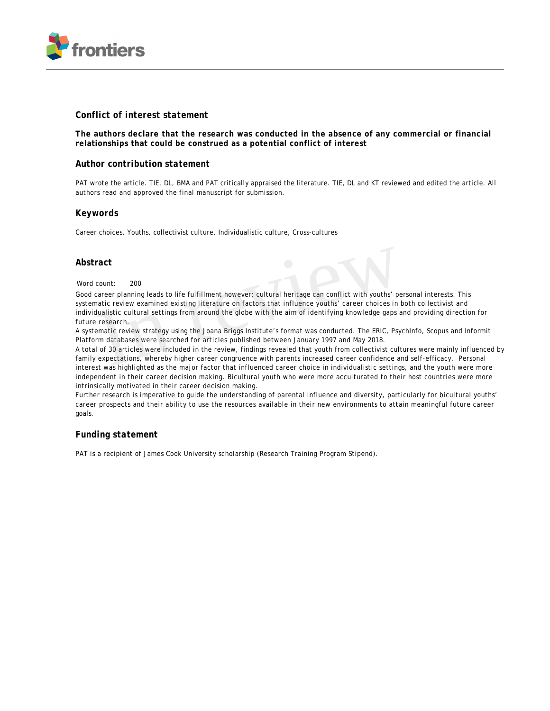

#### *Conflict of interest statement*

**The authors declare that the research was conducted in the absence of any commercial or financial relationships that could be construed as a potential conflict of interest**

#### *Author contribution statement*

PAT wrote the article. TIE, DL, BMA and PAT critically appraised the literature. TIE, DL and KT reviewed and edited the article. All authors read and approved the final manuscript for submission.

#### *Keywords*

Career choices, Youths, collectivist culture, Individualistic culture, Cross-cultures

#### *Abstract*

#### Word count: 200

Good career planning leads to life fulfillment however; cultural heritage can conflict with youths' personal interests. This systematic review examined existing literature on factors that influence youths' career choices in both collectivist and individualistic cultural settings from around the globe with the aim of identifying knowledge gaps and providing direction for future research. ract<br>count: 200<br>career planning leads to life fulfillment however; cultural heritage can conflict with youths' pe<br>natic review examined existing literature on factors that influence youths' career choices in t<br>dualistic cu

A systematic review strategy using the Joana Briggs Institute's format was conducted. The ERIC, PsychInfo, Scopus and Informit Platform databases were searched for articles published between January 1997 and May 2018.

A total of 30 articles were included in the review, findings revealed that youth from collectivist cultures were mainly influenced by family expectations, whereby higher career congruence with parents increased career confidence and self-efficacy. Personal interest was highlighted as the major factor that influenced career choice in individualistic settings, and the youth were more independent in their career decision making. Bicultural youth who were more acculturated to their host countries were more intrinsically motivated in their career decision making.

Further research is imperative to guide the understanding of parental influence and diversity, particularly for bicultural youths' career prospects and their ability to use the resources available in their new environments to attain meaningful future career goals.

#### *Funding statement*

PAT is a recipient of James Cook University scholarship (Research Training Program Stipend).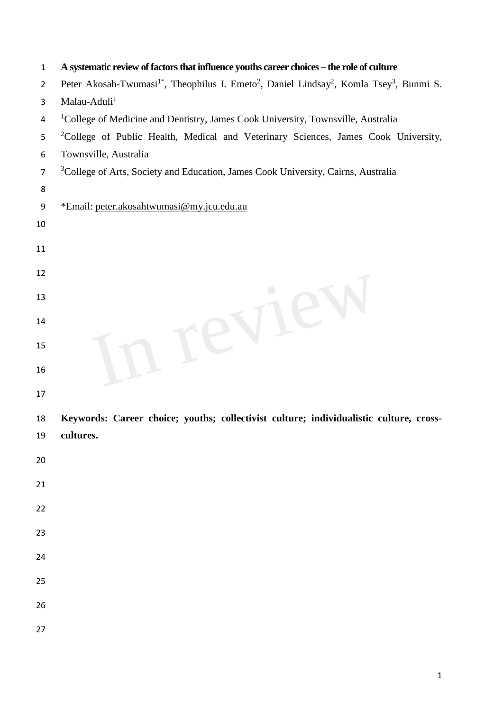| $\mathbf{1}$   | A systematic review of factors that influence youths career choices - the role of culture                                                |
|----------------|------------------------------------------------------------------------------------------------------------------------------------------|
| $\overline{2}$ | Peter Akosah-Twumasi <sup>1*</sup> , Theophilus I. Emeto <sup>2</sup> , Daniel Lindsay <sup>2</sup> , Komla Tsey <sup>3</sup> , Bunmi S. |
| 3              | Malau-Aduli <sup>1</sup>                                                                                                                 |
| 4              | <sup>1</sup> College of Medicine and Dentistry, James Cook University, Townsville, Australia                                             |
| 5              | <sup>2</sup> College of Public Health, Medical and Veterinary Sciences, James Cook University,                                           |
| 6              | Townsville, Australia                                                                                                                    |
| $\overline{7}$ | <sup>3</sup> College of Arts, Society and Education, James Cook University, Cairns, Australia                                            |
| 8              |                                                                                                                                          |
| 9              | *Email: peter.akosahtwumasi@my.jcu.edu.au                                                                                                |
| 10             |                                                                                                                                          |
| 11             |                                                                                                                                          |
| 12             |                                                                                                                                          |
| 13             |                                                                                                                                          |
| 14             |                                                                                                                                          |
| 15<br>16       |                                                                                                                                          |
| 17             |                                                                                                                                          |
| 18             | Keywords: Career choice; youths; collectivist culture; individualistic culture, cross-                                                   |
| 19             | cultures.                                                                                                                                |
| 20             |                                                                                                                                          |
| 21             |                                                                                                                                          |
|                |                                                                                                                                          |
| 22             |                                                                                                                                          |
| 23             |                                                                                                                                          |
| 24             |                                                                                                                                          |
|                |                                                                                                                                          |
| 25             |                                                                                                                                          |
| 26             |                                                                                                                                          |
| 27             |                                                                                                                                          |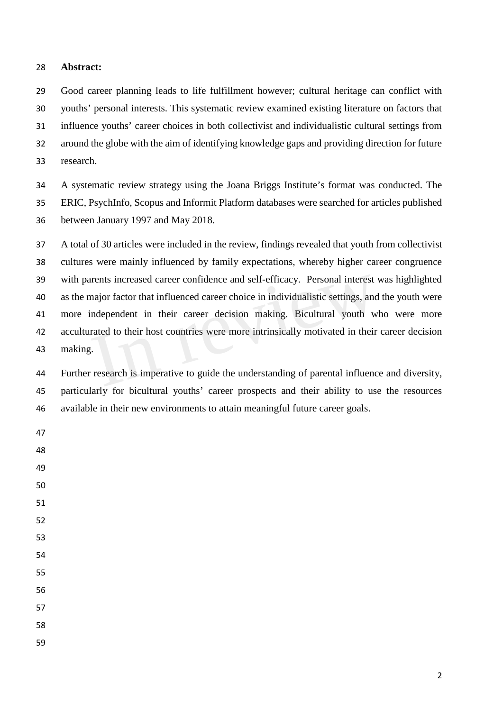## **Abstract:**

 Good career planning leads to life fulfillment however; cultural heritage can conflict with youths' personal interests. This systematic review examined existing literature on factors that influence youths' career choices in both collectivist and individualistic cultural settings from around the globe with the aim of identifying knowledge gaps and providing direction for future research.

 A systematic review strategy using the Joana Briggs Institute's format was conducted. The ERIC, PsychInfo, Scopus and Informit Platform databases were searched for articles published between January 1997 and May 2018.

 A total of 30 articles were included in the review, findings revealed that youth from collectivist cultures were mainly influenced by family expectations, whereby higher career congruence with parents increased career confidence and self-efficacy. Personal interest was highlighted as the major factor that influenced career choice in individualistic settings, and the youth were more independent in their career decision making. Bicultural youth who were more acculturated to their host countries were more intrinsically motivated in their career decision making. Interests increased career confidence and self-efficacy. Personal interest<br>major factor that influenced career choice in individualistic settings, and<br>independent in their career decision making. Bicultural youth w<br>rated t

 Further research is imperative to guide the understanding of parental influence and diversity, particularly for bicultural youths' career prospects and their ability to use the resources available in their new environments to attain meaningful future career goals.

- 
- 
-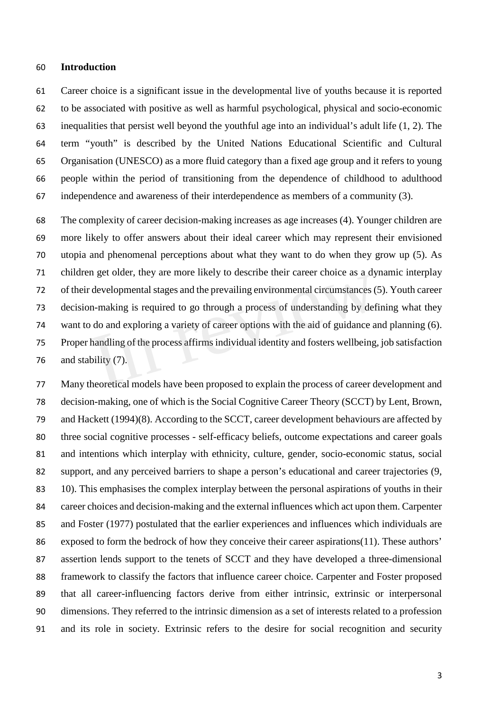#### **Introduction**

 Career choice is a significant issue in the developmental live of youths because it is reported to be associated with positive as well as harmful psychological, physical and socio-economic inequalities that persist well beyond the youthful age into an individual's adult life (1, 2). The term "youth" is described by the United Nations Educational Scientific and Cultural Organisation (UNESCO) as a more fluid category than a fixed age group and it refers to young people within the period of transitioning from the dependence of childhood to adulthood independence and awareness of their interdependence as members of a community (3).

 The complexity of career decision-making increases as age increases (4). Younger children are more likely to offer answers about their ideal career which may represent their envisioned utopia and phenomenal perceptions about what they want to do when they grow up (5). As children get older, they are more likely to describe their career choice as a dynamic interplay of their developmental stages and the prevailing environmental circumstances (5). Youth career decision-making is required to go through a process of understanding by defining what they want to do and exploring a variety of career options with the aid of guidance and planning (6). Proper handling of the process affirms individual identity and fosters wellbeing, job satisfaction and stability (7). developmental stages and the prevailing environmental circumstances (an-making is required to go through a process of understanding by def<br>of do and exploring a variety of career options with the aid of guidance as<br>handlin

 Many theoretical models have been proposed to explain the process of career development and decision-making, one of which is the Social Cognitive Career Theory (SCCT) by Lent, Brown, and Hackett (1994)(8). According to the SCCT, career development behaviours are affected by three social cognitive processes - self-efficacy beliefs, outcome expectations and career goals and intentions which interplay with ethnicity, culture, gender, socio-economic status, social support, and any perceived barriers to shape a person's educational and career trajectories (9, 10). This emphasises the complex interplay between the personal aspirations of youths in their career choices and decision-making and the external influences which act upon them. Carpenter and Foster (1977) postulated that the earlier experiences and influences which individuals are exposed to form the bedrock of how they conceive their career aspirations(11). These authors' assertion lends support to the tenets of SCCT and they have developed a three-dimensional framework to classify the factors that influence career choice. Carpenter and Foster proposed that all career-influencing factors derive from either intrinsic, extrinsic or interpersonal dimensions. They referred to the intrinsic dimension as a set of interests related to a profession and its role in society. Extrinsic refers to the desire for social recognition and security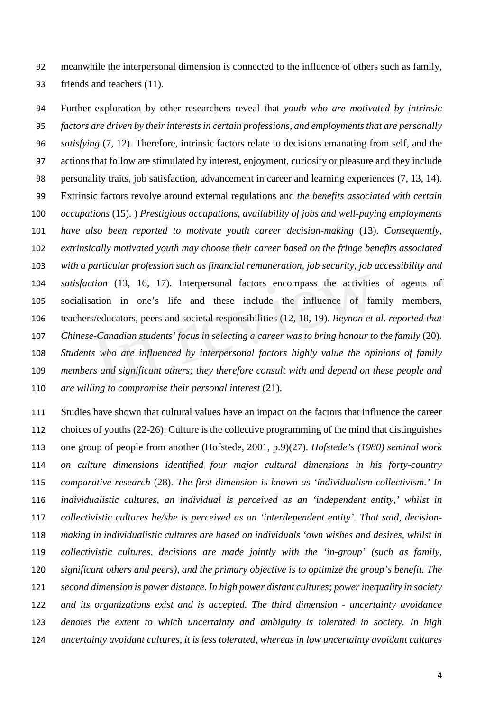meanwhile the interpersonal dimension is connected to the influence of others such as family, friends and teachers (11).

 Further exploration by other researchers reveal that *youth who are motivated by intrinsic factors are driven by their interests in certain professions, and employments that are personally satisfying* (7, 12)*.* Therefore, intrinsic factors relate to decisions emanating from self, and the actions that follow are stimulated by interest, enjoyment, curiosity or pleasure and they include personality traits, job satisfaction, advancement in career and learning experiences (7, 13, 14). Extrinsic factors revolve around external regulations and *the benefits associated with certain occupations* (15). ) *Prestigious occupations, availability of jobs and well-paying employments have also been reported to motivate youth career decision-making* (13). *Consequently, extrinsically motivated youth may choose their career based on the fringe benefits associated with a particular profession such as financial remuneration, job security, job accessibility and satisfaction* (13, 16, 17). Interpersonal factors encompass the activities of agents of socialisation in one's life and these include the influence of family members, teachers/educators, peers and societal responsibilities (12, 18, 19). *Beynon et al. reported that Chinese-Canadian students' focus in selecting a career was to bring honour to the family* (20)*. Students who are influenced by interpersonal factors highly value the opinions of family members and significant others; they therefore consult with and depend on these people and are willing to compromise their personal interest* (21). ction (13, 16, 17). Interpersonal factors encompass the activities<br>sation in one's life and these include the influence of far<br>s/educators, peers and societal responsibilities (12, 18, 19). Beynon et a<br>e-Canadian students'

 Studies have shown that cultural values have an impact on the factors that influence the career choices of youths (22-26). Culture is the collective programming of the mind that distinguishes one group of people from another (Hofstede, 2001, p.9)(27). *Hofstede's (1980) seminal work on culture dimensions identified four major cultural dimensions in his forty-country comparative research* (28). *The first dimension is known as 'individualism-collectivism.' In individualistic cultures, an individual is perceived as an 'independent entity,' whilst in collectivistic cultures he/she is perceived as an 'interdependent entity'. That said, decision- making in individualistic cultures are based on individuals 'own wishes and desires, whilst in collectivistic cultures, decisions are made jointly with the 'in-group' (such as family, significant others and peers), and the primary objective is to optimize the group's benefit. The second dimension is power distance. In high power distant cultures; power inequality in society and its organizations exist and is accepted. The third dimension - uncertainty avoidance denotes the extent to which uncertainty and ambiguity is tolerated in society. In high uncertainty avoidant cultures, it is less tolerated, whereas in low uncertainty avoidant cultures*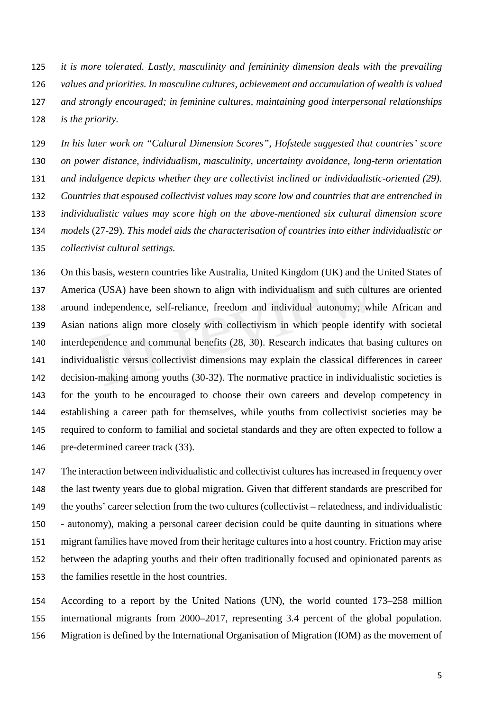*it is more tolerated. Lastly, masculinity and femininity dimension deals with the prevailing values and priorities. In masculine cultures, achievement and accumulation of wealth is valued and strongly encouraged; in feminine cultures, maintaining good interpersonal relationships is the priority.*

 *In his later work on "Cultural Dimension Scores", Hofstede suggested that countries' score on power distance, individualism, masculinity, uncertainty avoidance, long-term orientation and indulgence depicts whether they are collectivist inclined or individualistic-oriented (29). Countries that espoused collectivist values may score low and countries that are entrenched in individualistic values may score high on the above-mentioned six cultural dimension score models* (27-29)*. This model aids the characterisation of countries into either individualistic or collectivist cultural settings.*

 On this basis, western countries like Australia, United Kingdom (UK) and the United States of America (USA) have been shown to align with individualism and such cultures are oriented around independence, self-reliance, freedom and individual autonomy; while African and Asian nations align more closely with collectivism in which people identify with societal interdependence and communal benefits (28, 30). Research indicates that basing cultures on individualistic versus collectivist dimensions may explain the classical differences in career decision-making among youths (30-32). The normative practice in individualistic societies is for the youth to be encouraged to choose their own careers and develop competency in establishing a career path for themselves, while youths from collectivist societies may be required to conform to familial and societal standards and they are often expected to follow a pre-determined career track (33). Each CDSA) have been shown to align with individualism and such culture<br>independence, self-reliance, freedom and individual autonomy; wh<br>mations align more closely with collectivism in which people identif<br>pendence and com

 The interaction between individualistic and collectivist cultures hasincreased in frequency over the last twenty years due to global migration. Given that different standards are prescribed for the youths' career selection from the two cultures (collectivist – relatedness, and individualistic - autonomy), making a personal career decision could be quite daunting in situations where migrant families have moved from their heritage cultures into a host country. Friction may arise between the adapting youths and their often traditionally focused and opinionated parents as the families resettle in the host countries.

 According to a report by the United Nations (UN), the world counted 173–258 million international migrants from 2000–2017, representing 3.4 percent of the global population. Migration is defined by the International Organisation of Migration (IOM) as the movement of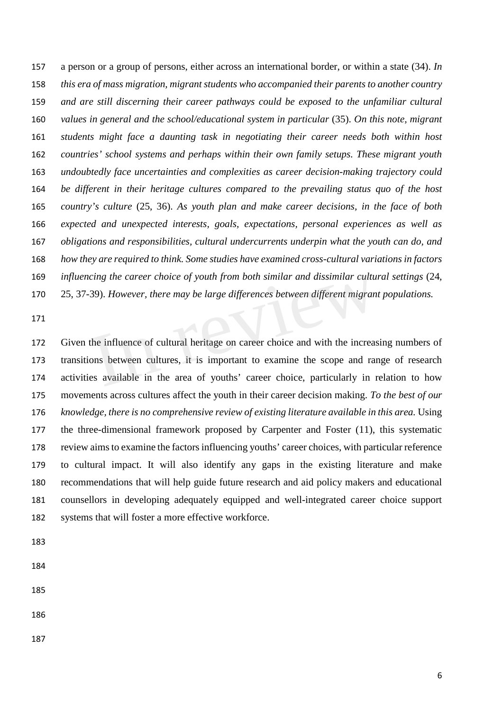a person or a group of persons, either across an international border, or within a state (34). *In this era of mass migration, migrant students who accompanied their parents to another country and are still discerning their career pathways could be exposed to the unfamiliar cultural values in general and the school/educational system in particular* (35). *On this note, migrant students might face a daunting task in negotiating their career needs both within host countries' school systems and perhaps within their own family setups. These migrant youth undoubtedly face uncertainties and complexities as career decision-making trajectory could be different in their heritage cultures compared to the prevailing status quo of the host country's culture* (25, 36). *As youth plan and make career decisions, in the face of both expected and unexpected interests, goals, expectations, personal experiences as well as obligations and responsibilities, cultural undercurrents underpin what the youth can do, and how they are required to think. Some studies have examined cross-cultural variations in factors influencing the career choice of youth from both similar and dissimilar cultural settings* (24, 25, 37-39). *However, there may be large differences between different migrant populations.* 

 Given the influence of cultural heritage on career choice and with the increasing numbers of transitions between cultures, it is important to examine the scope and range of research activities available in the area of youths' career choice, particularly in relation to how movements across cultures affect the youth in their career decision making. *To the best of our knowledge, there is no comprehensive review of existing literature available in this area.* Using the three-dimensional framework proposed by Carpenter and Foster (11), this systematic review aims to examine the factors influencing youths' career choices, with particular reference to cultural impact. It will also identify any gaps in the existing literature and make recommendations that will help guide future research and aid policy makers and educational counsellors in developing adequately equipped and well-integrated career choice support systems that will foster a more effective workforce. cing the career choice of youth from both similar and also similar cultured 39). However, there may be large differences between different migran 39). However, there may be large differences between different migran<br>the in

- 
- 
- 
- 
-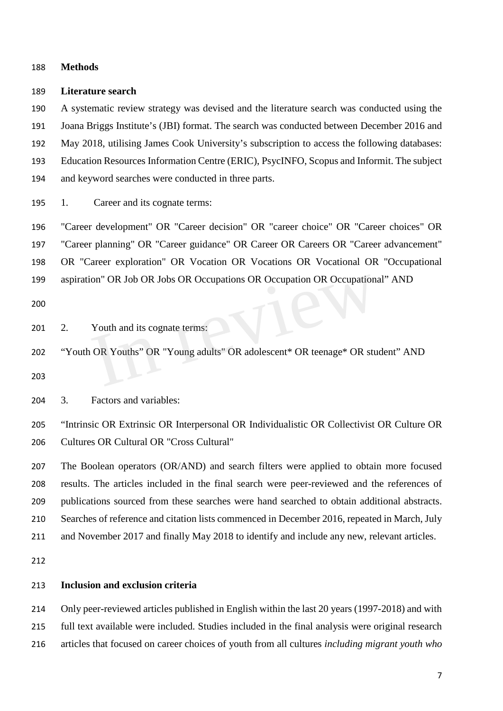#### **Methods**

#### **Literature search**

 A systematic review strategy was devised and the literature search was conducted using the Joana Briggs Institute's (JBI) format. The search was conducted between December 2016 and May 2018, utilising James Cook University's subscription to access the following databases: Education Resources Information Centre (ERIC), PsycINFO, Scopus and Informit. The subject and keyword searches were conducted in three parts.

1. Career and its cognate terms:

 "Career development" OR "Career decision" OR "career choice" OR "Career choices" OR "Career planning" OR "Career guidance" OR Career OR Careers OR "Career advancement" OR "Career exploration" OR Vocation OR Vocations OR Vocational OR "Occupational aspiration" OR Job OR Jobs OR Occupations OR Occupation OR Occupational" AND

201 2. Youth and its cognate terms:

 "Youth OR Youths" OR "Young adults" OR adolescent\* OR teenage\* OR student" AND Ion" OR Job OR Jobs OR Occupations OR Occupation OR Occupations<br>
Youth and its cognate terms:<br>
OR Youths" OR "Young adults" OR adolescent\* OR teenage\* OR stu

3. Factors and variables:

 "Intrinsic OR Extrinsic OR Interpersonal OR Individualistic OR Collectivist OR Culture OR Cultures OR Cultural OR "Cross Cultural"

 The Boolean operators (OR/AND) and search filters were applied to obtain more focused results. The articles included in the final search were peer-reviewed and the references of publications sourced from these searches were hand searched to obtain additional abstracts. Searches of reference and citation lists commenced in December 2016, repeated in March, July and November 2017 and finally May 2018 to identify and include any new, relevant articles.

## **Inclusion and exclusion criteria**

 Only peer-reviewed articles published in English within the last 20 years (1997-2018) and with full text available were included. Studies included in the final analysis were original research articles that focused on career choices of youth from all cultures *including migrant youth who*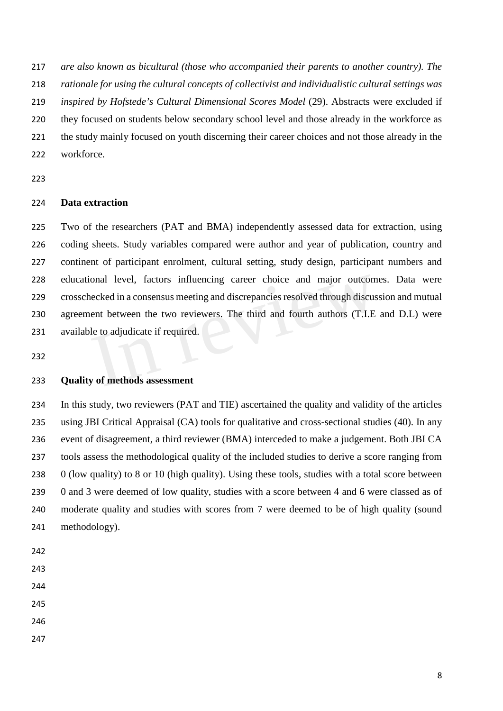*are also known as bicultural (those who accompanied their parents to another country). The* 

*rationale for using the cultural concepts of collectivist and individualistic cultural settings was* 

*inspired by Hofstede's Cultural Dimensional Scores Model* (29). Abstracts were excluded if

- they focused on students below secondary school level and those already in the workforce as
- the study mainly focused on youth discerning their career choices and not those already in the
- workforce.
- 

## **Data extraction**

 Two of the researchers (PAT and BMA) independently assessed data for extraction, using coding sheets. Study variables compared were author and year of publication, country and continent of participant enrolment, cultural setting, study design, participant numbers and educational level, factors influencing career choice and major outcomes. Data were crosschecked in a consensus meeting and discrepancies resolved through discussion and mutual agreement between the two reviewers. The third and fourth authors (T.I.E and D.L) were available to adjudicate if required. onal level, factors influencing career choice and major outcom<br>necked in a consensus meeting and discrepancies resolved through discus<br>ent between the two reviewers. The third and fourth authors (T.I.E<br>le to adjudicate if

## **Quality of methods assessment**

 In this study, two reviewers (PAT and TIE) ascertained the quality and validity of the articles using JBI Critical Appraisal (CA) tools for qualitative and cross-sectional studies (40). In any event of disagreement, a third reviewer (BMA) interceded to make a judgement. Both JBI CA tools assess the methodological quality of the included studies to derive a score ranging from 0 (low quality) to 8 or 10 (high quality). Using these tools, studies with a total score between 0 and 3 were deemed of low quality, studies with a score between 4 and 6 were classed as of moderate quality and studies with scores from 7 were deemed to be of high quality (sound methodology).

- 
- 
- 
- 
- 
- 
-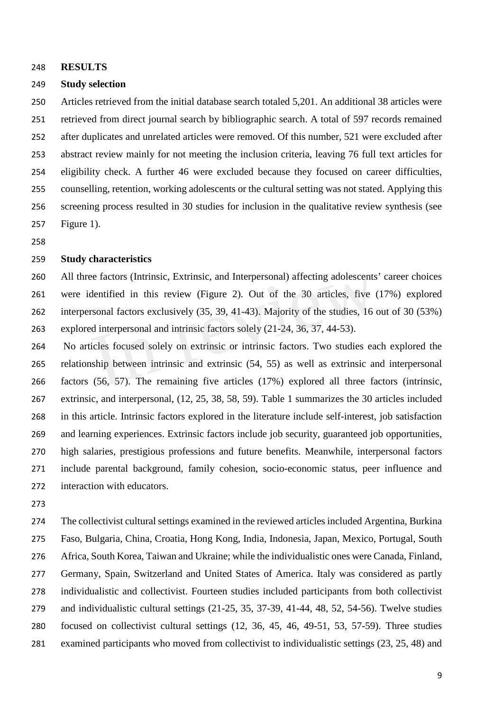#### **RESULTS**

#### **Study selection**

 Articles retrieved from the initial database search totaled 5,201. An additional 38 articles were retrieved from direct journal search by bibliographic search. A total of 597 records remained after duplicates and unrelated articles were removed. Of this number, 521 were excluded after abstract review mainly for not meeting the inclusion criteria, leaving 76 full text articles for eligibility check. A further 46 were excluded because they focused on career difficulties, counselling, retention, working adolescents or the cultural setting was not stated. Applying this screening process resulted in 30 studies for inclusion in the qualitative review synthesis (see Figure 1).

## **Study characteristics**

 All three factors (Intrinsic, Extrinsic, and Interpersonal) affecting adolescents' career choices were identified in this review (Figure 2). Out of the 30 articles, five (17%) explored interpersonal factors exclusively (35, 39, 41-43). Majority of the studies, 16 out of 30 (53%) explored interpersonal and intrinsic factors solely (21-24, 36, 37, 44-53). see ractors (intrinsic, Extrinsic, and interpersonal) arrecting adolescents<br>dentified in this review (Figure 2). Out of the 30 articles, five (<br>rsonal factors exclusively (35, 39, 41-43). Majority of the studies, 16 or<br>ed

 No articles focused solely on extrinsic or intrinsic factors. Two studies each explored the relationship between intrinsic and extrinsic (54, 55) as well as extrinsic and interpersonal factors (56, 57). The remaining five articles (17%) explored all three factors (intrinsic, extrinsic, and interpersonal, (12, 25, 38, 58, 59). Table 1 summarizes the 30 articles included in this article. Intrinsic factors explored in the literature include self-interest, job satisfaction and learning experiences. Extrinsic factors include job security, guaranteed job opportunities, high salaries, prestigious professions and future benefits. Meanwhile, interpersonal factors include parental background, family cohesion, socio-economic status, peer influence and interaction with educators.

 The collectivist cultural settings examined in the reviewed articles included Argentina, Burkina Faso, Bulgaria, China, Croatia, Hong Kong, India, Indonesia, Japan, Mexico, Portugal, South Africa, South Korea, Taiwan and Ukraine; while the individualistic ones were Canada, Finland, Germany, Spain, Switzerland and United States of America. Italy was considered as partly individualistic and collectivist. Fourteen studies included participants from both collectivist and individualistic cultural settings (21-25, 35, 37-39, 41-44, 48, 52, 54-56). Twelve studies focused on collectivist cultural settings (12, 36, 45, 46, 49-51, 53, 57-59). Three studies examined participants who moved from collectivist to individualistic settings (23, 25, 48) and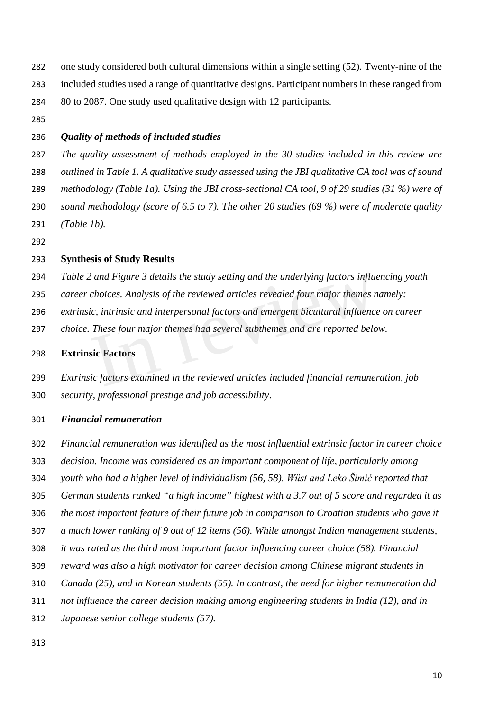- one study considered both cultural dimensions within a single setting (52). Twenty-nine of the included studies used a range of quantitative designs. Participant numbers in these ranged from
- 80 to 2087. One study used qualitative design with 12 participants.
- 

## *Quality of methods of included studies*

 *The quality assessment of methods employed in the 30 studies included in this review are outlined in Table 1. A qualitative study assessed using the JBI qualitative CA tool was of sound methodology (Table 1a). Using the JBI cross-sectional CA tool, 9 of 29 studies (31 %) were of sound methodology (score of 6.5 to 7). The other 20 studies (69 %) were of moderate quality (Table 1b).* 

## **Synthesis of Study Results**

- *Table 2 and Figure 3 details the study setting and the underlying factors influencing youth*
- *career choices. Analysis of the reviewed articles revealed four major themes namely:*
- *extrinsic, intrinsic and interpersonal factors and emergent bicultural influence on career*
- *choice. These four major themes had several subthemes and are reported below.*

## **Extrinsic Factors**

 *Extrinsic factors examined in the reviewed articles included financial remuneration, job security, professional prestige and job accessibility*. A and Figure 3 details the study setting and the underlying jactors influe<br>choices. Analysis of the reviewed articles revealed four major themes n<br>ic, intrinsic and interpersonal factors and emergent bicultural influence<br>T

#### *Financial remuneration*

- *Financial remuneration was identified as the most influential extrinsic factor in career choice*
- *decision. Income was considered as an important component of life, particularly among*
- *youth who had a higher level of individualism (56, 58). Wüst and Leko Šimić reported that*
- *German students ranked "a high income" highest with a 3.7 out of 5 score and regarded it as*
- *the most important feature of their future job in comparison to Croatian students who gave it*
- *a much lower ranking of 9 out of 12 items (56). While amongst Indian management students,*
- *it was rated as the third most important factor influencing career choice (58). Financial*
- *reward was also a high motivator for career decision among Chinese migrant students in*
- *Canada (25), and in Korean students (55). In contrast, the need for higher remuneration did*
- *not influence the career decision making among engineering students in India (12), and in*
- *Japanese senior college students (57).*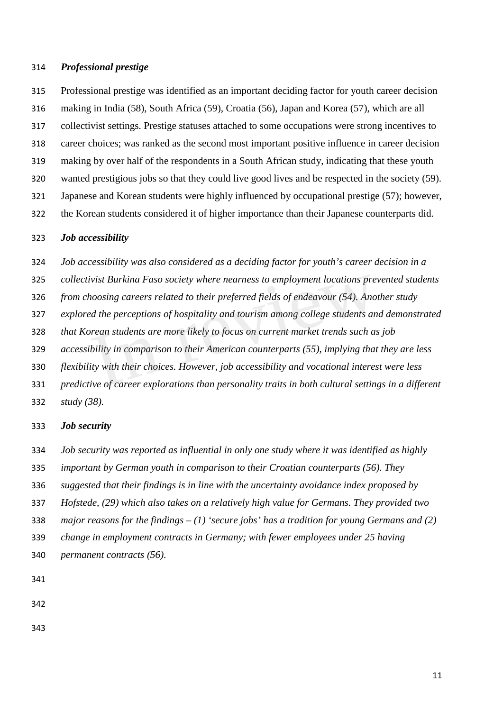## *Professional prestige*

 Professional prestige was identified as an important deciding factor for youth career decision making in India (58), South Africa (59), Croatia (56), Japan and Korea (57), which are all collectivist settings. Prestige statuses attached to some occupations were strong incentives to career choices; was ranked as the second most important positive influence in career decision making by over half of the respondents in a South African study, indicating that these youth wanted prestigious jobs so that they could live good lives and be respected in the society (59). Japanese and Korean students were highly influenced by occupational prestige (57); however, the Korean students considered it of higher importance than their Japanese counterparts did.

## *Job accessibility*

*Job accessibility was also considered as a deciding factor for youth's career decision in a* 

*collectivist Burkina Faso society where nearness to employment locations prevented students* 

 *from choosing careers related to their preferred fields of endeavour (54). Another study*  ivist Burkina Faso society where nearness to employment locations pre<br>ioosing careers related to their preferred fields of endeavour (54). Ano<br>ed the perceptions of hospitality and tourism among college students an<br>orean s

*explored the perceptions of hospitality and tourism among college students and demonstrated* 

*that Korean students are more likely to focus on current market trends such as job* 

*accessibility in comparison to their American counterparts (55), implying that they are less* 

*flexibility with their choices. However, job accessibility and vocational interest were less* 

*predictive of career explorations than personality traits in both cultural settings in a different* 

*study (38).*

## *Job security*

*Job security was reported as influential in only one study where it was identified as highly* 

*important by German youth in comparison to their Croatian counterparts (56). They* 

*suggested that their findings is in line with the uncertainty avoidance index proposed by* 

*Hofstede, (29) which also takes on a relatively high value for Germans. They provided two* 

*major reasons for the findings – (1) 'secure jobs' has a tradition for young Germans and (2)* 

 *change in employment contracts in Germany; with fewer employees under 25 having permanent contracts (56).*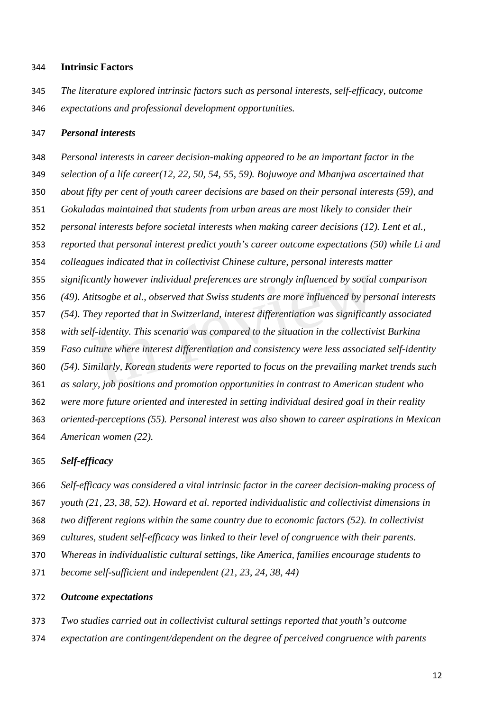#### **Intrinsic Factors**

 *The literature explored intrinsic factors such as personal interests, self-efficacy, outcome expectations and professional development opportunities.*

#### *Personal interests*

 *Personal interests in career decision-making appeared to be an important factor in the selection of a life career(12, 22, 50, 54, 55, 59). Bojuwoye and Mbanjwa ascertained that about fifty per cent of youth career decisions are based on their personal interests (59), and Gokuladas maintained that students from urban areas are most likely to consider their personal interests before societal interests when making career decisions (12). Lent et al., reported that personal interest predict youth's career outcome expectations (50) while Li and colleagues indicated that in collectivist Chinese culture, personal interests matter significantly however individual preferences are strongly influenced by social comparison (49). Atitsogbe et al., observed that Swiss students are more influenced by personal interests (54). They reported that in Switzerland, interest differentiation was significantly associated with self-identity. This scenario was compared to the situation in the collectivist Burkina Faso culture where interest differentiation and consistency were less associated self-identity (54). Similarly, Korean students were reported to focus on the prevailing market trends such as salary, job positions and promotion opportunities in contrast to American student who were more future oriented and interested in setting individual desired goal in their reality oriented-perceptions (55). Personal interest was also shown to career aspirations in Mexican American women (22).* cantly however individual preferences are strongly influenced by social<br>titsogbe et al., observed that Swiss students are more influenced by per.<br>hey reported that in Switzerland, interest differentiation was significant<br>l

#### *Self-efficacy*

*Self-efficacy was considered a vital intrinsic factor in the career decision-making process of* 

*youth (21, 23, 38, 52). Howard et al. reported individualistic and collectivist dimensions in* 

- *two different regions within the same country due to economic factors (52). In collectivist*
- *cultures, student self-efficacy was linked to their level of congruence with their parents.*
- *Whereas in individualistic cultural settings, like America, families encourage students to*
- *become self-sufficient and independent (21, 23, 24, 38, 44)*

## *Outcome expectations*

- *Two studies carried out in collectivist cultural settings reported that youth's outcome*
- *expectation are contingent/dependent on the degree of perceived congruence with parents*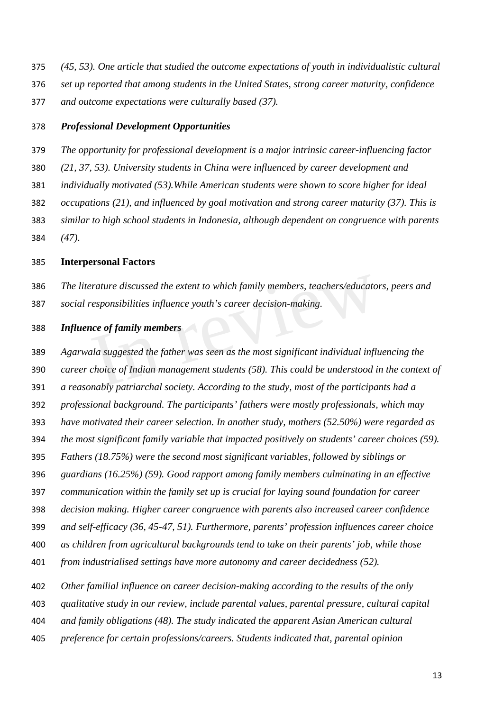- *(45, 53). One article that studied the outcome expectations of youth in individualistic cultural*
- *set up reported that among students in the United States, strong career maturity, confidence*
- *and outcome expectations were culturally based (37).*

#### *Professional Development Opportunities*

- *The opportunity for professional development is a major intrinsic career-influencing factor*
- *(21, 37, 53). University students in China were influenced by career development and*
- *individually motivated (53).While American students were shown to score higher for ideal*
- *occupations (21), and influenced by goal motivation and strong career maturity (37). This is*
- *similar to high school students in Indonesia, although dependent on congruence with parents (47).*
- **Interpersonal Factors**
- *The literature discussed the extent to which family members, teachers/educators, peers and*
- *social responsibilities influence youth's career decision-making.*

## *Influence of family members*

 *Agarwala suggested the father was seen as the most significant individual influencing the career choice of Indian management students (58). This could be understood in the context of a reasonably patriarchal society. According to the study, most of the participants had a professional background. The participants' fathers were mostly professionals, which may have motivated their career selection. In another study, mothers (52.50%) were regarded as the most significant family variable that impacted positively on students' career choices (59). Fathers (18.75%) were the second most significant variables, followed by siblings or guardians (16.25%) (59). Good rapport among family members culminating in an effective communication within the family set up is crucial for laying sound foundation for career decision making. Higher career congruence with parents also increased career confidence and self-efficacy (36, 45-47, 51). Furthermore, parents' profession influences career choice as children from agricultural backgrounds tend to take on their parents' job, while those from industrialised settings have more autonomy and career decidedness (52).* Exacture discussed the extent to which family members, teachers/educator-<br>
In responsibilities influence youth's career decision-making.<br>
In the of family members<br>
ala suggested the father was seen as the most significant

- *Other familial influence on career decision-making according to the results of the only*
- *qualitative study in our review, include parental values, parental pressure, cultural capital*
- *and family obligations (48). The study indicated the apparent Asian American cultural*
- *preference for certain professions/careers. Students indicated that, parental opinion*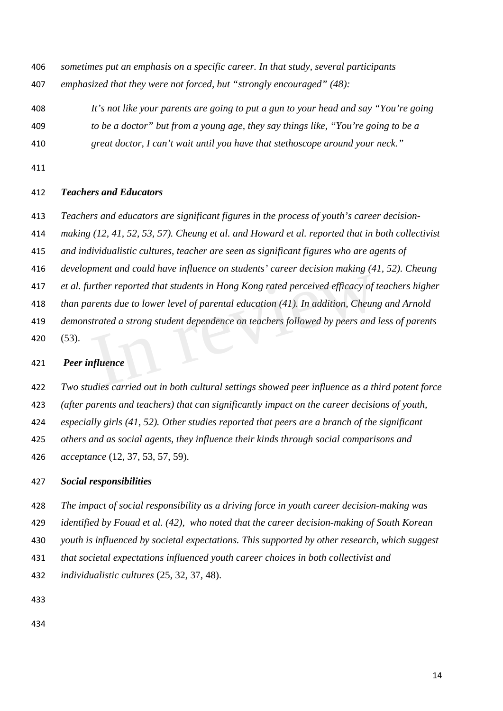*sometimes put an emphasis on a specific career. In that study, several participants emphasized that they were not forced, but "strongly encouraged" (48):*

- *It's not like your parents are going to put a gun to your head and say "You're going to be a doctor" but from a young age, they say things like, "You're going to be a*
- *great doctor, I can't wait until you have that stethoscope around your neck."*
- 

## *Teachers and Educators*

- *Teachers and educators are significant figures in the process of youth's career decision-*
- *making (12, 41, 52, 53, 57). Cheung et al. and Howard et al. reported that in both collectivist*
- *and individualistic cultures, teacher are seen as significant figures who are agents of*
- *development and could have influence on students' career decision making (41, 52). Cheung*
- *et al. further reported that students in Hong Kong rated perceived efficacy of teachers higher*
- *than parents due to lower level of parental education (41). In addition, Cheung and Arnold*
- *demonstrated a strong student dependence on teachers followed by peers and less of parents* (53). Figure 11 The reported that students in Hong Kong rated perceived efficacy of the areas due to lower level of parental education (41). In addition, Cheun<br>strated a strong student dependence on teachers followed by peers an

## *Peer influence*

 *Two studies carried out in both cultural settings showed peer influence as a third potent force (after parents and teachers) that can significantly impact on the career decisions of youth, especially girls (41, 52). Other studies reported that peers are a branch of the significant others and as social agents, they influence their kinds through social comparisons and acceptance* (12, 37, 53, 57, 59).

## *Social responsibilities*

- *The impact of social responsibility as a driving force in youth career decision-making was identified by Fouad et al. (42), who noted that the career decision-making of South Korean*
- *youth is influenced by societal expectations. This supported by other research, which suggest*
- *that societal expectations influenced youth career choices in both collectivist and*
- *individualistic cultures* (25, 32, 37, 48).
-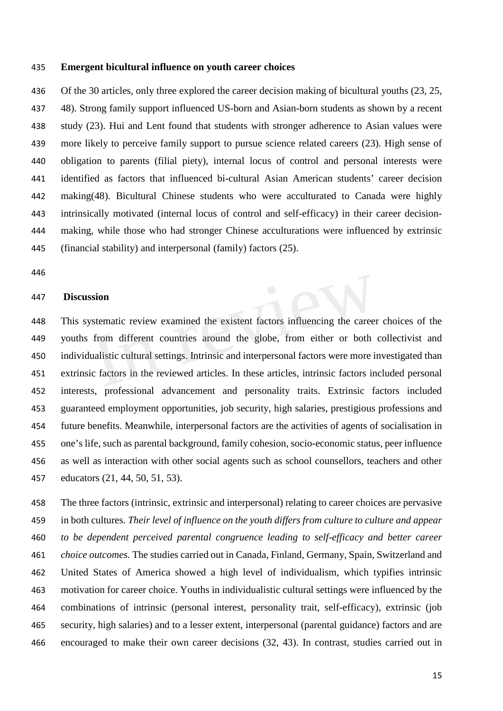#### **Emergent bicultural influence on youth career choices**

436 Of the 30 articles, only three explored the career decision making of bicultural youths (23, 25, 48). Strong family support influenced US-born and Asian-born students as shown by a recent study (23). Hui and Lent found that students with stronger adherence to Asian values were more likely to perceive family support to pursue science related careers (23). High sense of obligation to parents (filial piety), internal locus of control and personal interests were identified as factors that influenced bi-cultural Asian American students' career decision making(48). Bicultural Chinese students who were acculturated to Canada were highly intrinsically motivated (internal locus of control and self-efficacy) in their career decision- making, while those who had stronger Chinese acculturations were influenced by extrinsic (financial stability) and interpersonal (family) factors (25).

#### **Discussion**

 This systematic review examined the existent factors influencing the career choices of the youths from different countries around the globe, from either or both collectivist and individualistic cultural settings. Intrinsic and interpersonal factors were more investigated than extrinsic factors in the reviewed articles. In these articles, intrinsic factors included personal interests, professional advancement and personality traits. Extrinsic factors included guaranteed employment opportunities, job security, high salaries, prestigious professions and future benefits. Meanwhile, interpersonal factors are the activities of agents of socialisation in one's life, such as parental background, family cohesion, socio-economic status, peer influence as well as interaction with other social agents such as school counsellors, teachers and other educators (21, 44, 50, 51, 53). Society<br>
Society<br>
International settings around the globe, from either or both<br>
Socialistic cultural settings. Intrinsic and interpersonal factors were more in<br>
Socialistic cultural settings. Intrinsic and interpersonal fa

 The three factors (intrinsic, extrinsic and interpersonal) relating to career choices are pervasive in both cultures. *Their level of influence on the youth differs from culture to culture and appear to be dependent perceived parental congruence leading to self-efficacy and better career choice outcomes.* The studies carried out in Canada, Finland, Germany, Spain, Switzerland and United States of America showed a high level of individualism, which typifies intrinsic motivation for career choice. Youths in individualistic cultural settings were influenced by the combinations of intrinsic (personal interest, personality trait, self-efficacy), extrinsic (job security, high salaries) and to a lesser extent, interpersonal (parental guidance) factors and are encouraged to make their own career decisions (32, 43). In contrast, studies carried out in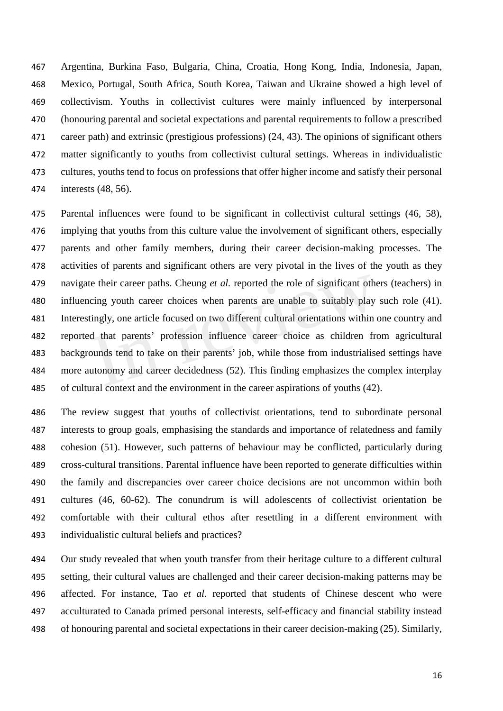Argentina, Burkina Faso, Bulgaria, China, Croatia, Hong Kong, India, Indonesia, Japan, Mexico, Portugal, South Africa, South Korea, Taiwan and Ukraine showed a high level of collectivism. Youths in collectivist cultures were mainly influenced by interpersonal (honouring parental and societal expectations and parental requirements to follow a prescribed career path) and extrinsic (prestigious professions) (24, 43). The opinions of significant others matter significantly to youths from collectivist cultural settings. Whereas in individualistic cultures, youths tend to focus on professions that offer higher income and satisfy their personal interests (48, 56).

 Parental influences were found to be significant in collectivist cultural settings (46, 58), implying that youths from this culture value the involvement of significant others, especially parents and other family members, during their career decision-making processes. The activities of parents and significant others are very pivotal in the lives of the youth as they navigate their career paths. Cheung *et al.* reported the role of significant others (teachers) in influencing youth career choices when parents are unable to suitably play such role (41). Interestingly, one article focused on two different cultural orientations within one country and reported that parents' profession influence career choice as children from agricultural backgrounds tend to take on their parents' job, while those from industrialised settings have more autonomy and career decidedness (52). This finding emphasizes the complex interplay of cultural context and the environment in the career aspirations of youths (42). the their career paths. Cheung *et al.* reported the role of significant other cing youth career choices when parents are unable to suitably play tingly, one article focused on two different cultural orientations within of

 The review suggest that youths of collectivist orientations, tend to subordinate personal interests to group goals, emphasising the standards and importance of relatedness and family cohesion (51). However, such patterns of behaviour may be conflicted, particularly during cross-cultural transitions. Parental influence have been reported to generate difficulties within the family and discrepancies over career choice decisions are not uncommon within both cultures (46, 60-62). The conundrum is will adolescents of collectivist orientation be comfortable with their cultural ethos after resettling in a different environment with individualistic cultural beliefs and practices?

 Our study revealed that when youth transfer from their heritage culture to a different cultural setting, their cultural values are challenged and their career decision-making patterns may be affected. For instance, Tao *et al.* reported that students of Chinese descent who were acculturated to Canada primed personal interests, self-efficacy and financial stability instead of honouring parental and societal expectations in their career decision-making (25). Similarly,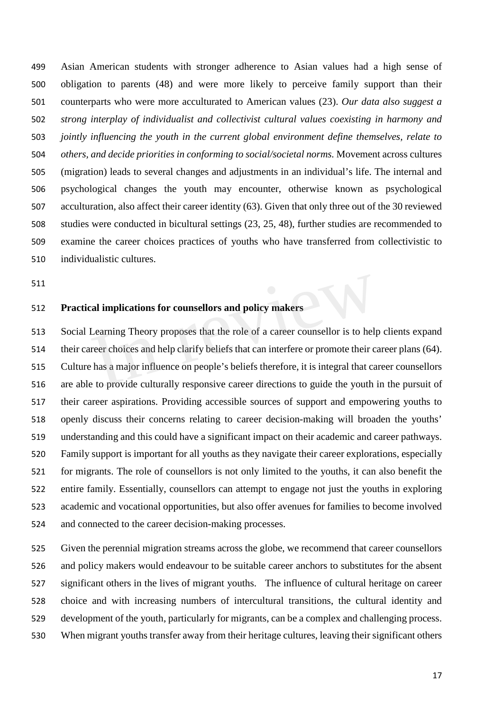Asian American students with stronger adherence to Asian values had a high sense of obligation to parents (48) and were more likely to perceive family support than their counterparts who were more acculturated to American values (23). *Our data also suggest a strong interplay of individualist and collectivist cultural values coexisting in harmony and jointly influencing the youth in the current global environment define themselves, relate to others, and decide priorities in conforming to social/societal norms.* Movement across cultures (migration) leads to several changes and adjustments in an individual's life. The internal and psychological changes the youth may encounter, otherwise known as psychological acculturation, also affect their career identity (63). Given that only three out of the 30 reviewed studies were conducted in bicultural settings (23, 25, 48), further studies are recommended to examine the career choices practices of youths who have transferred from collectivistic to individualistic cultures.

## **Practical implications for counsellors and policy makers**

 Social Learning Theory proposes that the role of a career counsellor is to help clients expand their career choices and help clarify beliefs that can interfere or promote their career plans (64). Culture has a major influence on people's beliefs therefore, it is integral that career counsellors are able to provide culturally responsive career directions to guide the youth in the pursuit of their career aspirations. Providing accessible sources of support and empowering youths to openly discuss their concerns relating to career decision-making will broaden the youths' understanding and this could have a significant impact on their academic and career pathways. Family support is important for all youths as they navigate their career explorations, especially for migrants. The role of counsellors is not only limited to the youths, it can also benefit the entire family. Essentially, counsellors can attempt to engage not just the youths in exploring academic and vocational opportunities, but also offer avenues for families to become involved and connected to the career decision-making processes. Cal implications for counsellors and policy makers<br>Learning Theory proposes that the role of a career counsellor is to help<br>reer choices and help clarify beliefs that can interfere or promote their can<br>be that a major infl

 Given the perennial migration streams across the globe, we recommend that career counsellors and policy makers would endeavour to be suitable career anchors to substitutes for the absent significant others in the lives of migrant youths. The influence of cultural heritage on career choice and with increasing numbers of intercultural transitions, the cultural identity and development of the youth, particularly for migrants, can be a complex and challenging process. When migrant youths transfer away from their heritage cultures, leaving their significant others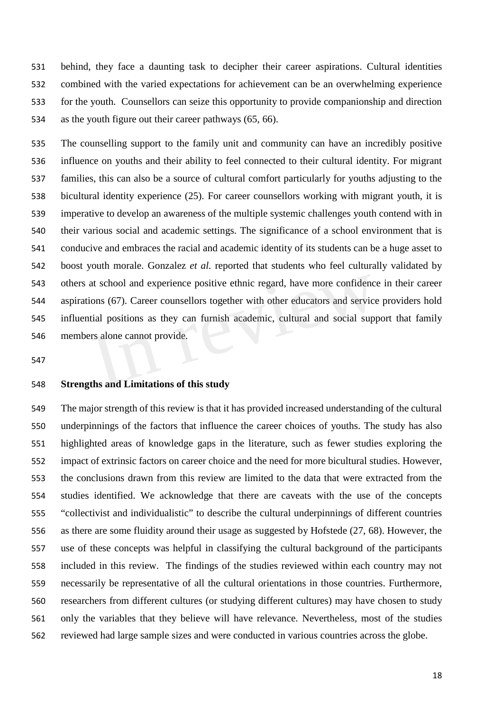behind, they face a daunting task to decipher their career aspirations. Cultural identities combined with the varied expectations for achievement can be an overwhelming experience for the youth. Counsellors can seize this opportunity to provide companionship and direction as the youth figure out their career pathways (65, 66).

 The counselling support to the family unit and community can have an incredibly positive influence on youths and their ability to feel connected to their cultural identity. For migrant families, this can also be a source of cultural comfort particularly for youths adjusting to the bicultural identity experience (25). For career counsellors working with migrant youth, it is imperative to develop an awareness of the multiple systemic challenges youth contend with in their various social and academic settings. The significance of a school environment that is conducive and embraces the racial and academic identity of its students can be a huge asset to boost youth morale. Gonzalez *et al.* reported that students who feel culturally validated by others at school and experience positive ethnic regard, have more confidence in their career aspirations (67). Career counsellors together with other educators and service providers hold influential positions as they can furnish academic, cultural and social support that family members alone cannot provide. at school and experience positive ethnic regard, have more confidence<br>ions (67). Career counsellors together with other educators and service<br>tial positions as they can furnish academic, cultural and social supp<br>rs alone c

## **Strengths and Limitations of this study**

 The major strength of this review is that it has provided increased understanding of the cultural underpinnings of the factors that influence the career choices of youths. The study has also highlighted areas of knowledge gaps in the literature, such as fewer studies exploring the impact of extrinsic factors on career choice and the need for more bicultural studies. However, the conclusions drawn from this review are limited to the data that were extracted from the studies identified. We acknowledge that there are caveats with the use of the concepts "collectivist and individualistic" to describe the cultural underpinnings of different countries as there are some fluidity around their usage as suggested by Hofstede (27, 68). However, the use of these concepts was helpful in classifying the cultural background of the participants included in this review. The findings of the studies reviewed within each country may not necessarily be representative of all the cultural orientations in those countries. Furthermore, researchers from different cultures (or studying different cultures) may have chosen to study only the variables that they believe will have relevance. Nevertheless, most of the studies reviewed had large sample sizes and were conducted in various countries across the globe.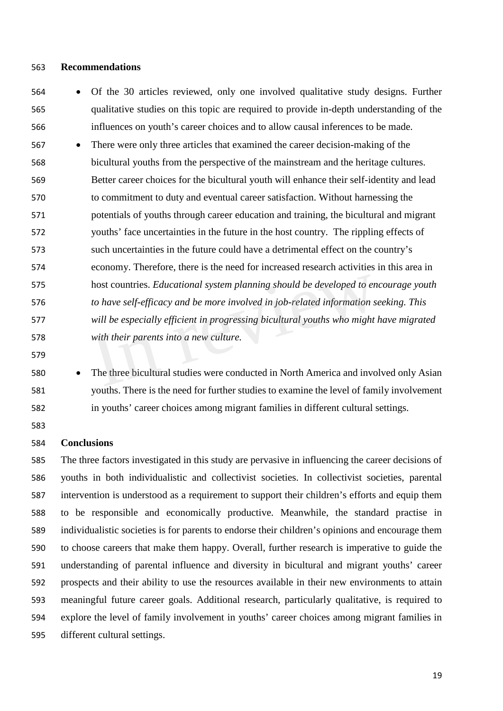## **Recommendations**

- Of the 30 articles reviewed, only one involved qualitative study designs. Further qualitative studies on this topic are required to provide in-depth understanding of the influences on youth's career choices and to allow causal inferences to be made.
- There were only three articles that examined the career decision-making of the bicultural youths from the perspective of the mainstream and the heritage cultures. Better career choices for the bicultural youth will enhance their self-identity and lead to commitment to duty and eventual career satisfaction. Without harnessing the potentials of youths through career education and training, the bicultural and migrant youths' face uncertainties in the future in the host country. The rippling effects of such uncertainties in the future could have a detrimental effect on the country's economy. Therefore, there is the need for increased research activities in this area in host countries. *Educational system planning should be developed to encourage youth to have self-efficacy and be more involved in job-related information seeking. This will be especially efficient in progressing bicultural youths who might have migrated with their parents into a new culture.* host countries. *Educational system planning should be developed to en*<br>to have self-efficacy and be more involved in job-related information s<br>will be especially efficient in progressing bicultural youths who might<br>with t
- 
- 

 • The three bicultural studies were conducted in North America and involved only Asian youths. There is the need for further studies to examine the level of family involvement in youths' career choices among migrant families in different cultural settings.

## **Conclusions**

 The three factors investigated in this study are pervasive in influencing the career decisions of youths in both individualistic and collectivist societies. In collectivist societies, parental intervention is understood as a requirement to support their children's efforts and equip them to be responsible and economically productive. Meanwhile, the standard practise in individualistic societies is for parents to endorse their children's opinions and encourage them to choose careers that make them happy. Overall, further research is imperative to guide the understanding of parental influence and diversity in bicultural and migrant youths' career prospects and their ability to use the resources available in their new environments to attain meaningful future career goals. Additional research, particularly qualitative, is required to explore the level of family involvement in youths' career choices among migrant families in different cultural settings.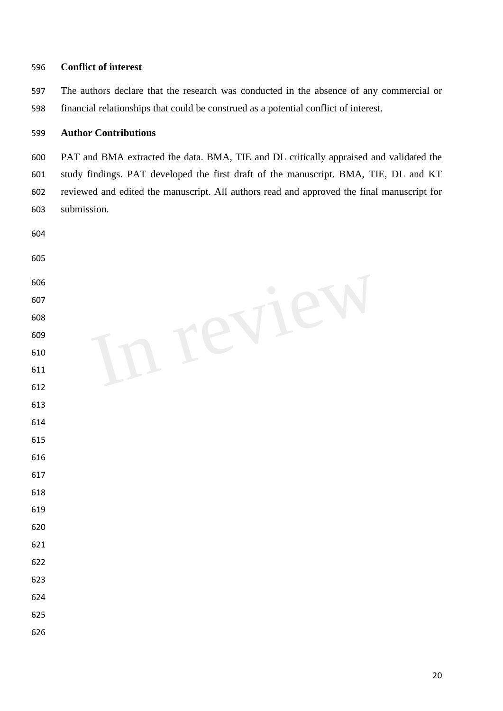## **Conflict of interest**

 The authors declare that the research was conducted in the absence of any commercial or financial relationships that could be construed as a potential conflict of interest.

## **Author Contributions**

 PAT and BMA extracted the data. BMA, TIE and DL critically appraised and validated the study findings. PAT developed the first draft of the manuscript. BMA, TIE, DL and KT reviewed and edited the manuscript. All authors read and approved the final manuscript for submission.

| 604 |            |
|-----|------------|
| 605 |            |
| 606 | $\bigcirc$ |
| 607 |            |
| 608 |            |
| 609 |            |
| 610 |            |
| 611 |            |
| 612 |            |
| 613 |            |
| 614 |            |
| 615 |            |
| 616 |            |
| 617 |            |
| 618 |            |
| 619 |            |
| 620 |            |
| 621 |            |
| 622 |            |
| 623 |            |
| 624 |            |
| 625 |            |
| 626 |            |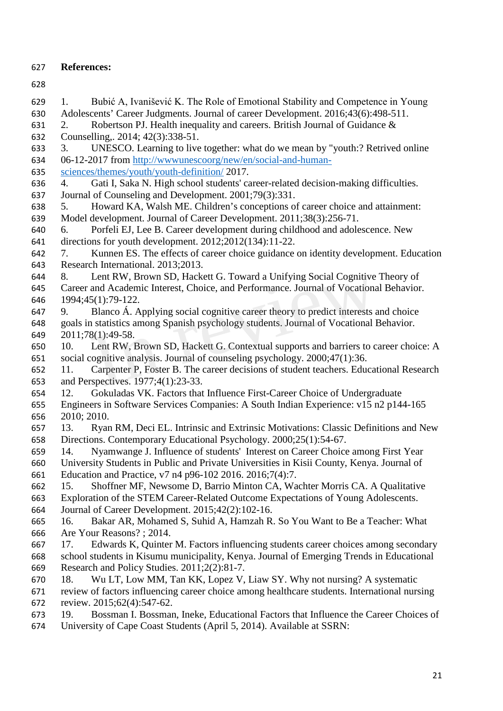- **References:**
- 
- 1. Bubić A, Ivanišević K. The Role of Emotional Stability and Competence in Young Adolescents' Career Judgments. Journal of career Development. 2016;43(6):498-511. 2. Robertson PJ. Health inequality and careers. British Journal of Guidance & Counselling,. 2014; 42(3):338-51. 3. UNESCO. Learning to live together: what do we mean by "youth:? Retrived online 06-12-2017 from [http://wwwunescoorg/new/en/social-and-human-](http://wwwunescoorg/new/en/social-and-human-sciences/themes/youth/youth-definition/) [sciences/themes/youth/youth-definition/](http://wwwunescoorg/new/en/social-and-human-sciences/themes/youth/youth-definition/) 2017. 4. Gati I, Saka N. High school students' career-related decision-making difficulties. Journal of Counseling and Development. 2001;79(3):331. 5. Howard KA, Walsh ME. Children's conceptions of career choice and attainment: Model development. Journal of Career Development. 2011;38(3):256-71. 6. Porfeli EJ, Lee B. Career development during childhood and adolescence. New directions for youth development. 2012;2012(134):11-22. 7. Kunnen ES. The effects of career choice guidance on identity development. Education Research International. 2013;2013. 8. Lent RW, Brown SD, Hackett G. Toward a Unifying Social Cognitive Theory of Career and Academic Interest, Choice, and Performance. Journal of Vocational Behavior. 1994;45(1):79-122. 9. Blanco Á. Applying social cognitive career theory to predict interests and choice goals in statistics among Spanish psychology students. Journal of Vocational Behavior. 2011;78(1):49-58. 10. Lent RW, Brown SD, Hackett G. Contextual supports and barriers to career choice: A social cognitive analysis. Journal of counseling psychology. 2000;47(1):36. 11. Carpenter P, Foster B. The career decisions of student teachers. Educational Research and Perspectives. 1977;4(1):23-33. 12. Gokuladas VK. Factors that Influence First-Career Choice of Undergraduate Engineers in Software Services Companies: A South Indian Experience: v15 n2 p144-165 2010; 2010. 13. Ryan RM, Deci EL. Intrinsic and Extrinsic Motivations: Classic Definitions and New Directions. Contemporary Educational Psychology. 2000;25(1):54-67. 14. Nyamwange J. Influence of students' Interest on Career Choice among First Year University Students in Public and Private Universities in Kisii County, Kenya. Journal of Education and Practice, v7 n4 p96-102 2016. 2016;7(4):7. 15. Shoffner MF, Newsome D, Barrio Minton CA, Wachter Morris CA. A Qualitative Exploration of the STEM Career-Related Outcome Expectations of Young Adolescents. Journal of Career Development. 2015;42(2):102-16. 16. Bakar AR, Mohamed S, Suhid A, Hamzah R. So You Want to Be a Teacher: What Are Your Reasons? ; 2014. 17. Edwards K, Quinter M. Factors influencing students career choices among secondary school students in Kisumu municipality, Kenya. Journal of Emerging Trends in Educational Research and Policy Studies. 2011;2(2):81-7. 18. Wu LT, Low MM, Tan KK, Lopez V, Liaw SY. Why not nursing? A systematic review of factors influencing career choice among healthcare students. International nursing review. 2015;62(4):547-62. 19. Bossman I. Bossman, Ineke, Educational Factors that Influence the Career Choices of University of Cape Coast Students (April 5, 2014). Available at SSRN: Lent RW, Brown SD, Hackett G. Toward a Unifying Social Cognitive<br>and Academic Interest, Choice, and Performance. Journal of Vocationa<br>5(1):79-122.<br>Blanco Á. Applying social cognitive career theory to predict interests a<br>a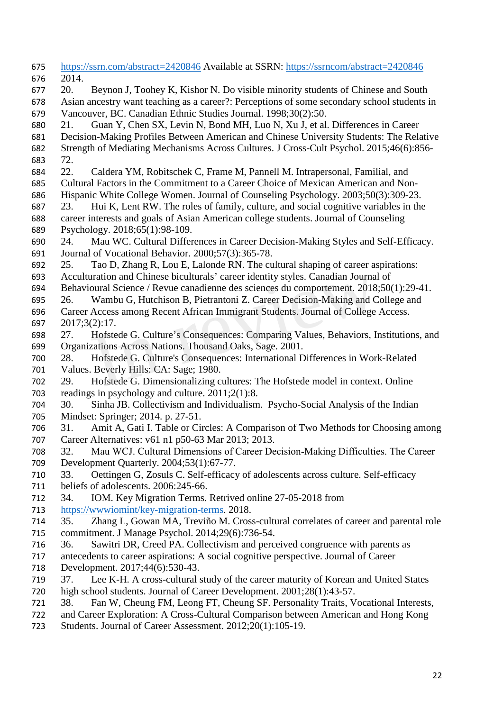| 675 | https://ssrn.com/abstract=2420846 Available at SSRN: https://ssrncom/abstract=2420846       |
|-----|---------------------------------------------------------------------------------------------|
| 676 | 2014.                                                                                       |
| 677 | 20.<br>Beynon J, Toohey K, Kishor N. Do visible minority students of Chinese and South      |
| 678 | Asian ancestry want teaching as a career?: Perceptions of some secondary school students in |
| 679 | Vancouver, BC. Canadian Ethnic Studies Journal. 1998;30(2):50.                              |
| 680 | Guan Y, Chen SX, Levin N, Bond MH, Luo N, Xu J, et al. Differences in Career<br>21.         |
| 681 | Decision-Making Profiles Between American and Chinese University Students: The Relative     |
| 682 | Strength of Mediating Mechanisms Across Cultures. J Cross-Cult Psychol. 2015;46(6):856-     |
| 683 | 72.                                                                                         |
| 684 | 22.<br>Caldera YM, Robitschek C, Frame M, Pannell M. Intrapersonal, Familial, and           |
| 685 | Cultural Factors in the Commitment to a Career Choice of Mexican American and Non-          |
| 686 | Hispanic White College Women. Journal of Counseling Psychology. 2003;50(3):309-23.          |
| 687 | Hui K, Lent RW. The roles of family, culture, and social cognitive variables in the<br>23.  |
| 688 | career interests and goals of Asian American college students. Journal of Counseling        |
| 689 | Psychology. 2018;65(1):98-109.                                                              |
| 690 | Mau WC. Cultural Differences in Career Decision-Making Styles and Self-Efficacy.<br>24.     |
| 691 | Journal of Vocational Behavior. 2000;57(3):365-78.                                          |
| 692 | Tao D, Zhang R, Lou E, Lalonde RN. The cultural shaping of career aspirations:<br>25.       |
| 693 | Acculturation and Chinese biculturals' career identity styles. Canadian Journal of          |
| 694 | Behavioural Science / Revue canadienne des sciences du comportement. 2018;50(1):29-41.      |
| 695 | Wambu G, Hutchison B, Pietrantoni Z. Career Decision-Making and College and<br>26.          |
| 696 | Career Access among Recent African Immigrant Students. Journal of College Access.           |
| 697 | 2017;3(2):17.                                                                               |
| 698 | Hofstede G. Culture's Consequences: Comparing Values, Behaviors, Institutions, and<br>27.   |
| 699 | Organizations Across Nations. Thousand Oaks, Sage. 2001.                                    |
| 700 | Hofstede G. Culture's Consequences: International Differences in Work-Related<br>28.        |
| 701 | Values. Beverly Hills: CA: Sage; 1980.                                                      |
| 702 | Hofstede G. Dimensionalizing cultures: The Hofstede model in context. Online<br>29.         |
| 703 | readings in psychology and culture. $2011;2(1):8$ .                                         |
| 704 | 30.<br>Sinha JB. Collectivism and Individualism. Psycho-Social Analysis of the Indian       |
| 705 | Mindset: Springer; 2014. p. 27-51.                                                          |
| 706 | Amit A, Gati I. Table or Circles: A Comparison of Two Methods for Choosing among<br>31.     |
| 707 | Career Alternatives: v61 n1 p50-63 Mar 2013; 2013.                                          |
| 708 | Mau WCJ. Cultural Dimensions of Career Decision-Making Difficulties. The Career<br>32.      |
| 709 | Development Quarterly. 2004;53(1):67-77.                                                    |
| 710 | Oettingen G, Zosuls C. Self-efficacy of adolescents across culture. Self-efficacy<br>33.    |
| 711 | beliefs of adolescents. 2006:245-66.                                                        |
| 712 | 34.<br>IOM. Key Migration Terms. Retrived online 27-05-2018 from                            |
| 713 | https://wwwiomint/key-migration-terms. 2018.                                                |
| 714 | 35.<br>Zhang L, Gowan MA, Treviño M. Cross-cultural correlates of career and parental role  |
| 715 | commitment. J Manage Psychol. 2014;29(6):736-54.                                            |
| 716 | Sawitri DR, Creed PA. Collectivism and perceived congruence with parents as<br>36.          |
| 717 | antecedents to career aspirations: A social cognitive perspective. Journal of Career        |
| 718 | Development. 2017;44(6):530-43.                                                             |
| 719 | Lee K-H. A cross-cultural study of the career maturity of Korean and United States<br>37.   |
| 720 | high school students. Journal of Career Development. 2001;28(1):43-57.                      |
| 721 | Fan W, Cheung FM, Leong FT, Cheung SF. Personality Traits, Vocational Interests,<br>38.     |
| 722 | and Career Exploration: A Cross-Cultural Comparison between American and Hong Kong          |
| 723 | Students. Journal of Career Assessment. 2012;20(1):105-19.                                  |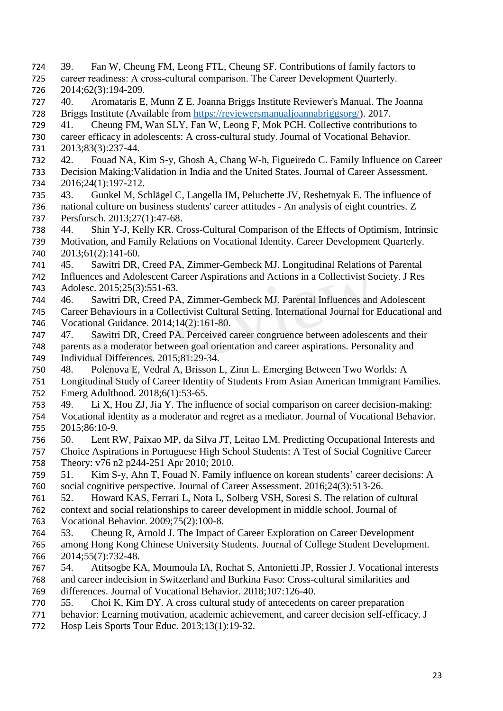- 39. Fan W, Cheung FM, Leong FTL, Cheung SF. Contributions of family factors to 725 career readiness: A cross-cultural comparison. The Career Development Quarterly. 2014;62(3):194-209. 40. Aromataris E, Munn Z E. Joanna Briggs Institute Reviewer's Manual. The Joanna Briggs Institute (Available from [https://reviewersmanualjoannabriggsorg/\)](https://reviewersmanualjoannabriggsorg/). 2017. 41. Cheung FM, Wan SLY, Fan W, Leong F, Mok PCH. Collective contributions to career efficacy in adolescents: A cross-cultural study. Journal of Vocational Behavior. 2013;83(3):237-44. 42. Fouad NA, Kim S-y, Ghosh A, Chang W-h, Figueiredo C. Family Influence on Career Decision Making:Validation in India and the United States. Journal of Career Assessment. 2016;24(1):197-212. 43. Gunkel M, Schlägel C, Langella IM, Peluchette JV, Reshetnyak E. The influence of national culture on business students' career attitudes - An analysis of eight countries. Z Persforsch. 2013;27(1):47-68. 44. Shin Y-J, Kelly KR. Cross-Cultural Comparison of the Effects of Optimism, Intrinsic Motivation, and Family Relations on Vocational Identity. Career Development Quarterly. 2013;61(2):141-60. 45. Sawitri DR, Creed PA, Zimmer-Gembeck MJ. Longitudinal Relations of Parental Influences and Adolescent Career Aspirations and Actions in a Collectivist Society. J Res Adolesc. 2015;25(3):551-63. 46. Sawitri DR, Creed PA, Zimmer-Gembeck MJ. Parental Influences and Adolescent Career Behaviours in a Collectivist Cultural Setting. International Journal for Educational and Vocational Guidance. 2014;14(2):161-80. 47. Sawitri DR, Creed PA. Perceived career congruence between adolescents and their parents as a moderator between goal orientation and career aspirations. Personality and Individual Differences. 2015;81:29-34. 48. Polenova E, Vedral A, Brisson L, Zinn L. Emerging Between Two Worlds: A Longitudinal Study of Career Identity of Students From Asian American Immigrant Families. Emerg Adulthood. 2018;6(1):53-65. 49. Li X, Hou ZJ, Jia Y. The influence of social comparison on career decision-making: Vocational identity as a moderator and regret as a mediator. Journal of Vocational Behavior. 2015;86:10-9. 50. Lent RW, Paixao MP, da Silva JT, Leitao LM. Predicting Occupational Interests and Choice Aspirations in Portuguese High School Students: A Test of Social Cognitive Career Theory: v76 n2 p244-251 Apr 2010; 2010. 51. Kim S-y, Ahn T, Fouad N. Family influence on korean students' career decisions: A social cognitive perspective. Journal of Career Assessment. 2016;24(3):513-26. 52. Howard KAS, Ferrari L, Nota L, Solberg VSH, Soresi S. The relation of cultural context and social relationships to career development in middle school. Journal of Vocational Behavior. 2009;75(2):100-8. 53. Cheung R, Arnold J. The Impact of Career Exploration on Career Development among Hong Kong Chinese University Students. Journal of College Student Development. 2014;55(7):732-48. 54. Atitsogbe KA, Moumoula IA, Rochat S, Antonietti JP, Rossier J. Vocational interests and career indecision in Switzerland and Burkina Faso: Cross-cultural similarities and differences. Journal of Vocational Behavior. 2018;107:126-40. 55. Choi K, Kim DY. A cross cultural study of antecedents on career preparation behavior: Learning motivation, academic achievement, and career decision self-efficacy. J Hosp Leis Sports Tour Educ. 2013;13(1):19-32. ces and Adolescent Career Aspirations and Actions in a Collectivist So<br>c. 2015;25(3):551-63.<br>Sawitri DR, Creed PA, Zimmer-Gembeck MJ. Parental Influences and<br>Behaviours in a Collectivist Cultural Setting. International Jou
	-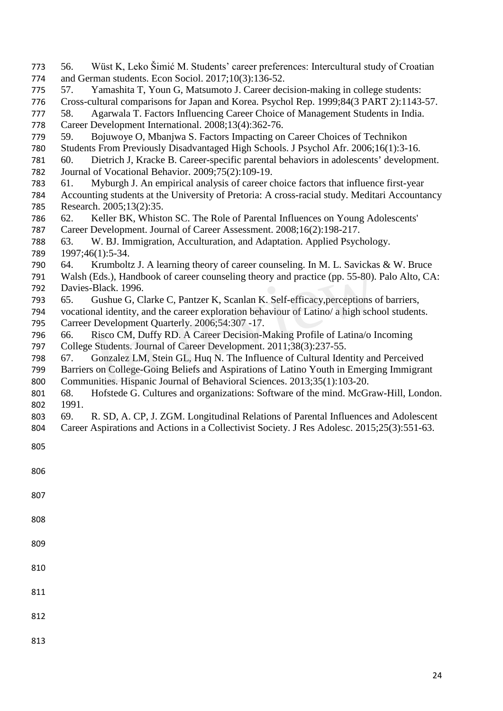| 773 | Wüst K, Leko Šimić M. Students' career preferences: Intercultural study of Croatian<br>56.    |
|-----|-----------------------------------------------------------------------------------------------|
| 774 | and German students. Econ Sociol. 2017;10(3):136-52.                                          |
| 775 | Yamashita T, Youn G, Matsumoto J. Career decision-making in college students:<br>57.          |
| 776 | Cross-cultural comparisons for Japan and Korea. Psychol Rep. 1999;84(3 PART 2):1143-57.       |
| 777 | Agarwala T. Factors Influencing Career Choice of Management Students in India.<br>58.         |
| 778 | Career Development International. 2008;13(4):362-76.                                          |
| 779 | Bojuwoye O, Mbanjwa S. Factors Impacting on Career Choices of Technikon<br>59.                |
| 780 | Students From Previously Disadvantaged High Schools. J Psychol Afr. 2006;16(1):3-16.          |
| 781 | Dietrich J, Kracke B. Career-specific parental behaviors in adolescents' development.<br>60.  |
| 782 | Journal of Vocational Behavior. 2009;75(2):109-19.                                            |
| 783 | Myburgh J. An empirical analysis of career choice factors that influence first-year<br>61.    |
| 784 | Accounting students at the University of Pretoria: A cross-racial study. Meditari Accountancy |
| 785 | Research. 2005;13(2):35.                                                                      |
| 786 | Keller BK, Whiston SC. The Role of Parental Influences on Young Adolescents'<br>62.           |
| 787 | Career Development. Journal of Career Assessment. 2008;16(2):198-217.                         |
| 788 | W. BJ. Immigration, Acculturation, and Adaptation. Applied Psychology.<br>63.                 |
| 789 | 1997;46(1):5-34.                                                                              |
| 790 | Krumboltz J. A learning theory of career counseling. In M. L. Savickas & W. Bruce<br>64.      |
| 791 | Walsh (Eds.), Handbook of career counseling theory and practice (pp. 55-80). Palo Alto, CA:   |
| 792 | Davies-Black. 1996.                                                                           |
| 793 | Gushue G, Clarke C, Pantzer K, Scanlan K. Self-efficacy, perceptions of barriers,<br>65.      |
| 794 | vocational identity, and the career exploration behaviour of Latino/ a high school students.  |
| 795 | Carreer Development Quarterly. 2006;54:307 -17.                                               |
| 796 | Risco CM, Duffy RD. A Career Decision-Making Profile of Latina/o Incoming<br>66.              |
| 797 | College Students. Journal of Career Development. 2011;38(3):237-55.                           |
| 798 | Gonzalez LM, Stein GL, Huq N. The Influence of Cultural Identity and Perceived<br>67.         |
| 799 | Barriers on College-Going Beliefs and Aspirations of Latino Youth in Emerging Immigrant       |
| 800 | Communities. Hispanic Journal of Behavioral Sciences. 2013;35(1):103-20.                      |
| 801 | Hofstede G. Cultures and organizations: Software of the mind. McGraw-Hill, London.<br>68.     |
| 802 | 1991.                                                                                         |
| 803 | R. SD, A. CP, J. ZGM. Longitudinal Relations of Parental Influences and Adolescent<br>69.     |
| 804 | Career Aspirations and Actions in a Collectivist Society. J Res Adolesc. 2015;25(3):551-63.   |
|     |                                                                                               |
| 805 |                                                                                               |
|     |                                                                                               |
| 806 |                                                                                               |
|     |                                                                                               |
| 807 |                                                                                               |
|     |                                                                                               |
| 808 |                                                                                               |
|     |                                                                                               |
|     |                                                                                               |
| 809 |                                                                                               |
|     |                                                                                               |
| 810 |                                                                                               |
|     |                                                                                               |
| 811 |                                                                                               |
|     |                                                                                               |
| 812 |                                                                                               |
|     |                                                                                               |
| 813 |                                                                                               |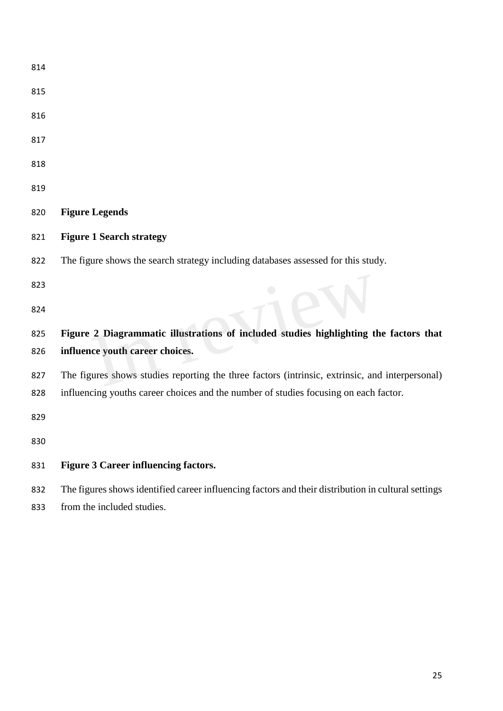| 814 |                                                                                                     |
|-----|-----------------------------------------------------------------------------------------------------|
| 815 |                                                                                                     |
| 816 |                                                                                                     |
| 817 |                                                                                                     |
| 818 |                                                                                                     |
| 819 |                                                                                                     |
| 820 | <b>Figure Legends</b>                                                                               |
| 821 | <b>Figure 1 Search strategy</b>                                                                     |
| 822 | The figure shows the search strategy including databases assessed for this study.                   |
| 823 |                                                                                                     |
| 824 |                                                                                                     |
| 825 | Figure 2 Diagrammatic illustrations of included studies highlighting the factors that               |
| 826 | influence youth career choices.                                                                     |
| 827 | The figures shows studies reporting the three factors (intrinsic, extrinsic, and interpersonal)     |
| 828 | influencing youths career choices and the number of studies focusing on each factor.                |
| 829 |                                                                                                     |
| 830 |                                                                                                     |
| 831 | <b>Figure 3 Career influencing factors.</b>                                                         |
| 832 | The figures shows identified career influencing factors and their distribution in cultural settings |

from the included studies.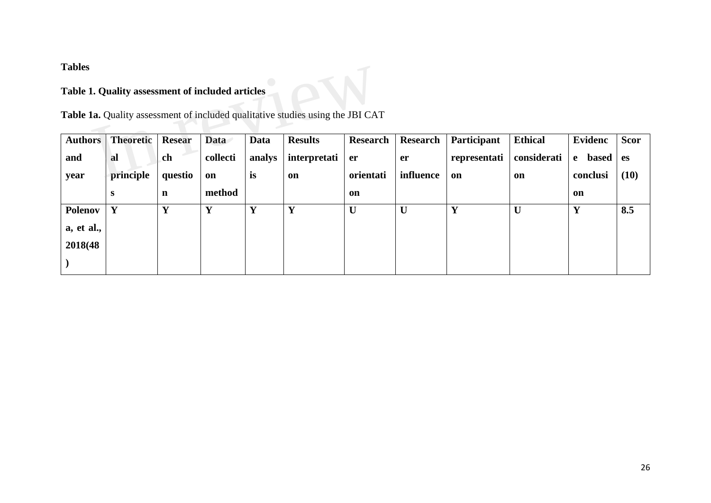**Tables**

## **Table 1. Quality assessment of included articles**

| 1 avits        |                                                  |               |             |             |                                                                                |                 |                 |                    |                |                              |             |
|----------------|--------------------------------------------------|---------------|-------------|-------------|--------------------------------------------------------------------------------|-----------------|-----------------|--------------------|----------------|------------------------------|-------------|
|                | Table 1. Quality assessment of included articles |               |             |             |                                                                                |                 |                 |                    |                |                              |             |
|                |                                                  |               |             |             | Table 1a. Quality assessment of included qualitative studies using the JBI CAT |                 |                 |                    |                |                              |             |
| <b>Authors</b> | <b>Theoretic</b>                                 | <b>Resear</b> | <b>Data</b> | <b>Data</b> | <b>Results</b>                                                                 | <b>Research</b> | <b>Research</b> | <b>Participant</b> | <b>Ethical</b> | <b>Evidenc</b>               | <b>Scor</b> |
| and            | al                                               | ch            | collecti    | analys      | interpretati                                                                   | er              | <b>er</b>       | representati       | considerati    | <b>based</b><br>$\mathbf{e}$ | es          |
| year           | principle                                        | questio       | on          | is          | on                                                                             | orientati       | influence       | on                 | <b>on</b>      | conclusi                     | (10)        |
|                | S                                                | n             | method      |             |                                                                                | on              |                 |                    |                | on                           |             |
| <b>Polenov</b> | Y                                                | Y             | Y           | Y           | Y                                                                              | $\mathbf U$     | $\mathbf U$     | Y                  | U              | Y                            | 8.5         |
| a, et al.,     |                                                  |               |             |             |                                                                                |                 |                 |                    |                |                              |             |
| 2018(48)       |                                                  |               |             |             |                                                                                |                 |                 |                    |                |                              |             |
|                |                                                  |               |             |             |                                                                                |                 |                 |                    |                |                              |             |
|                |                                                  |               |             |             |                                                                                |                 |                 |                    |                |                              |             |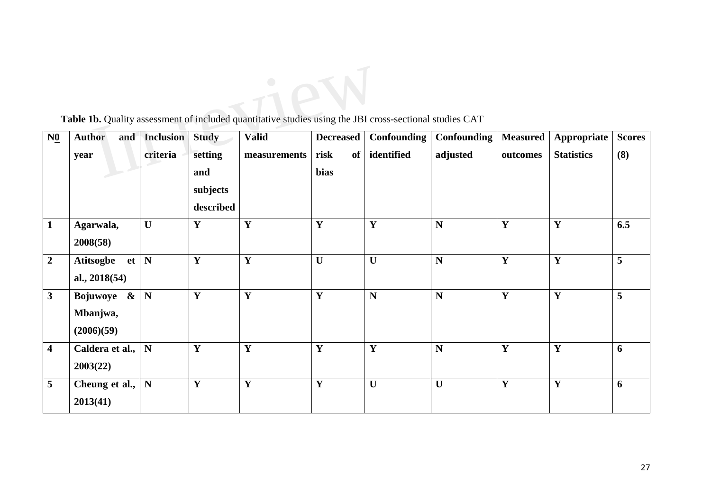| $N\underline{0}$        | <b>Author</b><br>and                      | <b>Inclusion</b> | <b>Study</b> | <b>Valid</b> | <b>Decreased</b> | Confounding  | Confounding | <b>Measured</b> | Appropriate       | <b>Scores</b> |
|-------------------------|-------------------------------------------|------------------|--------------|--------------|------------------|--------------|-------------|-----------------|-------------------|---------------|
|                         | year                                      | criteria         | setting      | measurements | risk<br>of       | identified   | adjusted    | outcomes        | <b>Statistics</b> | (8)           |
|                         |                                           |                  | and          |              | bias             |              |             |                 |                   |               |
|                         |                                           |                  | subjects     |              |                  |              |             |                 |                   |               |
|                         |                                           |                  | described    |              |                  |              |             |                 |                   |               |
| $\mathbf{1}$            | Agarwala,<br>2008(58)                     | $\mathbf{U}$     | Y            | $\mathbf Y$  | $\mathbf Y$      | Y            | N           | Y               | $\mathbf Y$       | 6.5           |
| $\overline{2}$          | <b>Atitsogbe</b><br>et<br>al., $2018(54)$ | N                | Y            | $\mathbf Y$  | $\mathbf U$      | $\mathbf U$  | N           | Y               | $\mathbf Y$       | 5             |
| 3                       | Bojuwoye &<br>Mbanjwa,<br>(2006)(59)      | N                | $\mathbf Y$  | $\mathbf{Y}$ | $\mathbf Y$      | N            | ${\bf N}$   | Y               | $\mathbf Y$       | 5             |
| $\overline{\mathbf{4}}$ | Caldera et al.,<br>2003(22)               | ${\bf N}$        | Y            | $\mathbf Y$  | $\mathbf Y$      | Y            | N           | Y               | $\mathbf Y$       | 6             |
| 5                       | Cheung et al.,<br>2013(41)                | ${\bf N}$        | Y            | $\mathbf{Y}$ | $\mathbf Y$      | $\mathbf{U}$ | U           | Y               | $\mathbf Y$       | 6             |

Table 1b. Quality assessment of included quantitative studies using the JBI cross-sectional studies CAT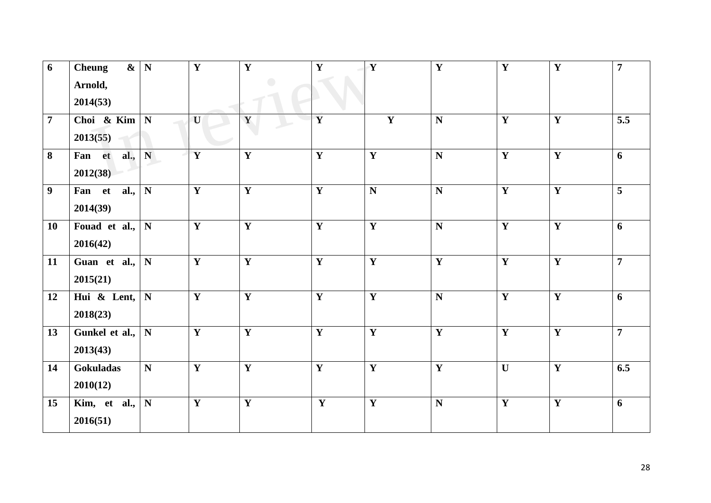| 6              | $\boldsymbol{\&}$<br><b>Cheung</b><br>Arnold,<br>2014(53) | $\mathbf N$ | $\mathbf Y$             | $\mathbf Y$             | $\mathbf Y$             | $\overline{\mathbf{Y}}$ | $\overline{\mathbf{Y}}$ | $\overline{\mathbf{Y}}$ | $\overline{\mathbf{Y}}$ | $\overline{7}$ |
|----------------|-----------------------------------------------------------|-------------|-------------------------|-------------------------|-------------------------|-------------------------|-------------------------|-------------------------|-------------------------|----------------|
| $\overline{7}$ | Choi & Kim<br>2013(55)                                    | N           | U                       | Y                       | $\overline{\mathbf{Y}}$ | Y                       | N                       | $\mathbf Y$             | $\mathbf Y$             | 5.5            |
| 8              | Fan et<br>al.,<br>2012(38)                                | N           | $\overline{\mathbf{Y}}$ | $\overline{\mathbf{Y}}$ | $\overline{\mathbf{Y}}$ | $\overline{\mathbf{Y}}$ | $\overline{\mathbf{N}}$ | $\overline{\mathbf{Y}}$ | $\overline{\mathbf{Y}}$ | 6              |
| 9 <sup>°</sup> | al.,<br>Fan et<br>2014(39)                                | $\mathbf N$ | $\mathbf Y$             | $\mathbf Y$             | $\mathbf Y$             | N                       | N                       | $\mathbf Y$             | $\mathbf Y$             | 5              |
| 10             | Fouad et al.,<br>2016(42)                                 | ${\bf N}$   | $\mathbf Y$             | $\mathbf Y$             | $\mathbf Y$             | $\mathbf Y$             | ${\bf N}$               | $\mathbf Y$             | $\mathbf Y$             | 6              |
| 11             | Guan et al.,<br>2015(21)                                  | $\mathbf N$ | $\mathbf{Y}$            | $\mathbf{Y}$            | $\mathbf Y$             | Y                       | $\mathbf{Y}$            | $\mathbf Y$             | $\mathbf{Y}$            | $\overline{7}$ |
| 12             | Hui & Lent,<br>2018(23)                                   | $\mathbf N$ | $\mathbf{Y}$            | $\mathbf{Y}$            | $\mathbf Y$             | $\mathbf Y$             | ${\bf N}$               | $\mathbf Y$             | $\mathbf Y$             | 6              |
| 13             | Gunkel et al.,<br>2013(43)                                | ${\bf N}$   | $\mathbf{Y}$            | $\mathbf{Y}$            | $\mathbf Y$             | Y                       | $\mathbf{Y}$            | Y                       | Y                       | $\overline{7}$ |
| 14             | Gokuladas<br>2010(12)                                     | ${\bf N}$   | $\mathbf Y$             | $\overline{\mathbf{Y}}$ | $\overline{\mathbf{Y}}$ | $\overline{\mathbf{Y}}$ | $\overline{\mathbf{Y}}$ | $\mathbf{U}$            | $\overline{\mathbf{Y}}$ | 6.5            |
| 15             | Kim, et al.,<br>2016(51)                                  | ${\bf N}$   | $\overline{\mathbf{Y}}$ | $\overline{\mathbf{Y}}$ | $\overline{\mathbf{Y}}$ | $\overline{\mathbf{Y}}$ | $\mathbf N$             | $\overline{\mathbf{Y}}$ | $\overline{\mathbf{Y}}$ | 6              |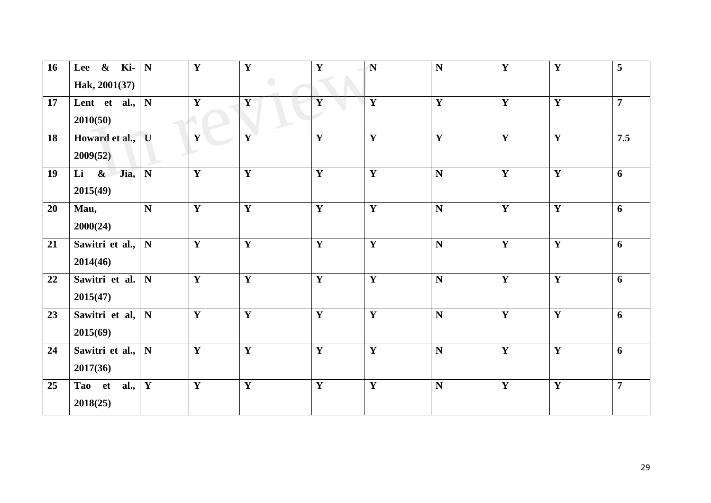| 16 | $\&$ Ki- N<br>Lee<br>Hak, 2001(37)          |             | $\mathbf Y$  | $\overline{\mathbf{Y}}$<br>$\overline{\phantom{0}}$ | $\mathbf{Y}$ | $\mathbf N$ | ${\bf N}$    | $\mathbf Y$ | $\overline{\mathbf{Y}}$ | 5              |
|----|---------------------------------------------|-------------|--------------|-----------------------------------------------------|--------------|-------------|--------------|-------------|-------------------------|----------------|
| 17 | Lent et al.,<br>2010(50)                    | ${\bf N}$   | $\mathbf{Y}$ | Y                                                   | Y            | Y           | $\mathbf{Y}$ | $\mathbf Y$ | Y                       | $\overline{7}$ |
| 18 | Howard et al.,<br>2009(52)                  | U           | $\mathbf{Y}$ | $\mathbf{Y}$                                        | $\mathbf Y$  | Y           | $\mathbf{Y}$ | Y           | $\mathbf{Y}$            | 7.5            |
| 19 | $\mathbf{\alpha}$<br>Jia,<br>Li<br>2015(49) | ${\bf N}$   | $\mathbf{Y}$ | $\mathbf Y$                                         | $\mathbf Y$  | Y           | $\mathbf N$  | $\mathbf Y$ | $\mathbf Y$             | 6              |
| 20 | Mau,<br>2000(24)                            | ${\bf N}$   | $\mathbf Y$  | $\mathbf{Y}$                                        | $\mathbf Y$  | Y           | $\mathbf N$  | $\mathbf Y$ | $\mathbf Y$             | 6              |
| 21 | Sawitri et al.,<br>2014(46)                 | ${\bf N}$   | $\mathbf{Y}$ | $\mathbf Y$                                         | $\mathbf Y$  | Y           | $\mathbf N$  | $\mathbf Y$ | $\mathbf Y$             | 6              |
| 22 | Sawitri et al.<br>2015(47)                  | $\mathbf N$ | $\mathbf{Y}$ | $\mathbf Y$                                         | $\mathbf Y$  | Y           | $\mathbf N$  | $\mathbf Y$ | $\overline{\mathbf{Y}}$ | 6              |
| 23 | Sawitri et al,<br>2015(69)                  | $\mathbf N$ | $\mathbf{Y}$ | $\mathbf{Y}$                                        | $\mathbf Y$  | Y           | $\mathbf N$  | $\mathbf Y$ | $\mathbf{Y}$            | 6              |
| 24 | Sawitri et al.,<br>2017(36)                 | ${\bf N}$   | $\mathbf Y$  | $\overline{\mathbf{Y}}$                             | $\mathbf Y$  | Y           | ${\bf N}$    | $\mathbf Y$ | $\overline{\mathbf{Y}}$ | 6              |
| 25 | Tao et<br>al.,<br>2018(25)                  | $\mathbf Y$ | $\mathbf{Y}$ | $\mathbf{Y}$                                        | $\mathbf Y$  | Y           | $\mathbf N$  | Y           | $\mathbf{Y}$            | $\overline{7}$ |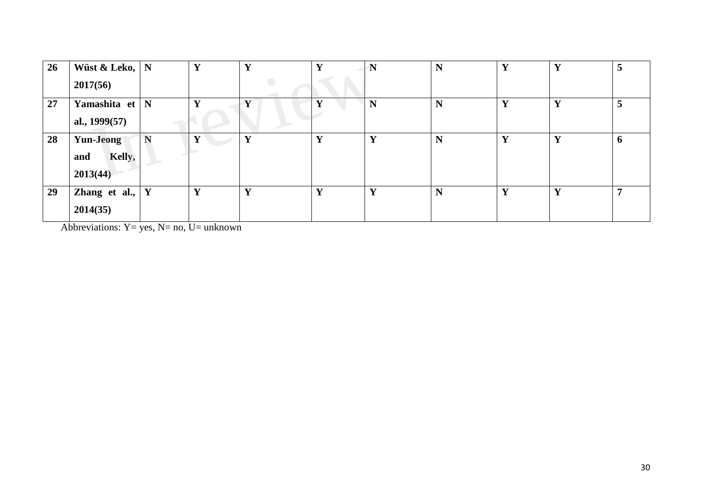| 26 | Wüst & Leko,<br>2017(56)               | N | Y | $\mathbf{v}$ | Y | $\mathbf N$  | N | Y | Y            | 5           |
|----|----------------------------------------|---|---|--------------|---|--------------|---|---|--------------|-------------|
| 27 | Yamashita et<br>al., 1999(57)          | N |   |              |   | N            | N | Y | Y            | 5           |
| 28 | Yun-Jeong<br>Kelly,<br>and<br>2013(44) | N |   | Y            | Y | Y            | N | Y | Y            | $\mathbf b$ |
| 29 | Zhang et al.,<br>2014(35)              | Y | Y | $\mathbf{v}$ | Y | $\mathbf{v}$ | N | Y | $\mathbf{v}$ |             |

Abbreviations:  $Y = yes$ ,  $N= no$ ,  $U= unknown$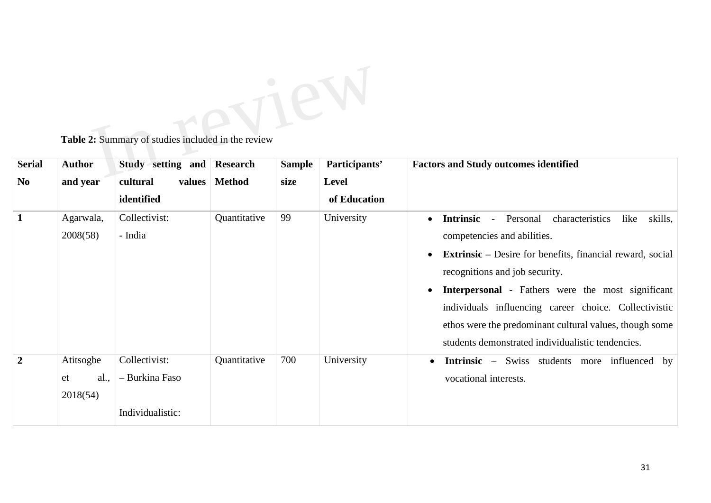

**Table 2:** Summary of studies included in the review

| <b>Serial</b>  | <b>Author</b> | Study setting and  | Research     | <b>Sample</b> | Participants' | <b>Factors and Study outcomes identified</b>                     |
|----------------|---------------|--------------------|--------------|---------------|---------------|------------------------------------------------------------------|
| N <sub>0</sub> | and year      | cultural<br>values | Method       | size          | <b>Level</b>  |                                                                  |
|                |               | identified         |              |               | of Education  |                                                                  |
| $\mathbf{1}$   | Agarwala,     | Collectivist:      | Quantitative | 99            | University    | Personal<br>characteristics<br>like<br>skills,<br>Intrinsic -    |
|                | 2008(58)      | - India            |              |               |               | competencies and abilities.                                      |
|                |               |                    |              |               |               | <b>Extrinsic</b> – Desire for benefits, financial reward, social |
|                |               |                    |              |               |               | recognitions and job security.                                   |
|                |               |                    |              |               |               | Interpersonal - Fathers were the most significant                |
|                |               |                    |              |               |               | individuals influencing career choice. Collectivistic            |
|                |               |                    |              |               |               | ethos were the predominant cultural values, though some          |
|                |               |                    |              |               |               | students demonstrated individualistic tendencies.                |
| $\overline{2}$ | Atitsogbe     | Collectivist:      | Quantitative | 700           | University    | <b>Intrinsic</b> – Swiss students more influenced by             |
|                | al.,<br>et    | - Burkina Faso     |              |               |               | vocational interests.                                            |
|                | 2018(54)      |                    |              |               |               |                                                                  |
|                |               | Individualistic:   |              |               |               |                                                                  |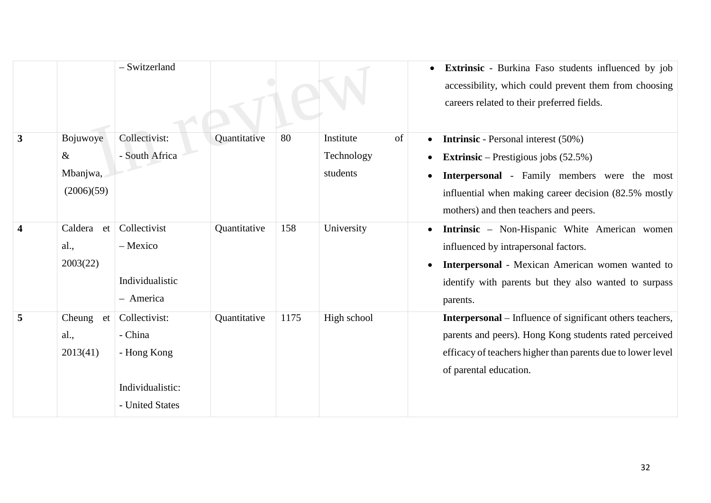|                         |                                            | - Switzerland                                                                  |              |      |                                           | Extrinsic - Burkina Faso students influenced by job<br>accessibility, which could prevent them from choosing<br>careers related to their preferred fields.                                                                                                  |
|-------------------------|--------------------------------------------|--------------------------------------------------------------------------------|--------------|------|-------------------------------------------|-------------------------------------------------------------------------------------------------------------------------------------------------------------------------------------------------------------------------------------------------------------|
| $\overline{\mathbf{3}}$ | Bojuwoye<br>$\&$<br>Mbanjwa,<br>(2006)(59) | Collectivist:<br>- South Africa                                                | Quantitative | 80   | Institute<br>of<br>Technology<br>students | <b>Intrinsic</b> - Personal interest (50%)<br><b>Extrinsic</b> – Prestigious jobs $(52.5\%)$<br>$\bullet$<br>Interpersonal - Family members were the most<br>influential when making career decision (82.5% mostly<br>mothers) and then teachers and peers. |
| $\overline{\mathbf{4}}$ | Caldera<br>et<br>al.,<br>2003(22)          | Collectivist<br>- Mexico<br>Individualistic<br>- America                       | Quantitative | 158  | University                                | <b>Intrinsic</b> – Non-Hispanic White American women<br>influenced by intrapersonal factors.<br>Interpersonal - Mexican American women wanted to<br>identify with parents but they also wanted to surpass<br>parents.                                       |
| 5                       | Cheung et<br>al.,<br>2013(41)              | Collectivist:<br>- China<br>- Hong Kong<br>Individualistic:<br>- United States | Quantitative | 1175 | High school                               | <b>Interpersonal</b> – Influence of significant others teachers,<br>parents and peers). Hong Kong students rated perceived<br>efficacy of teachers higher than parents due to lower level<br>of parental education.                                         |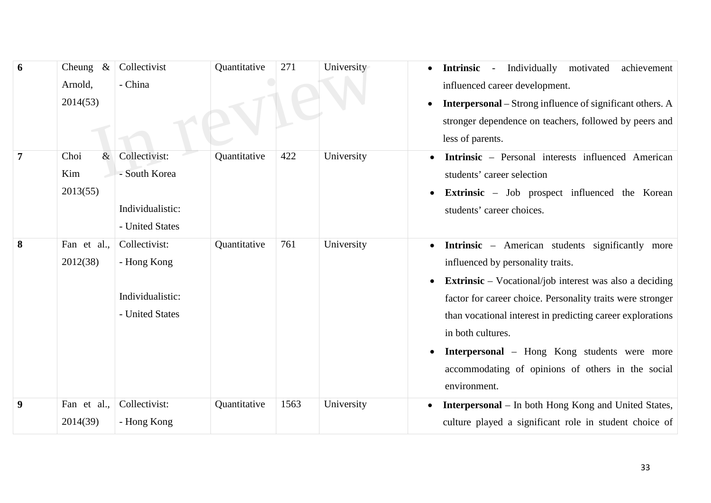| 6 | Cheung $\&$  | Collectivist     | Quantitative | 271  | University | Individually motivated<br>achievement<br><b>Intrinsic</b><br>$\sim$ $-$ |
|---|--------------|------------------|--------------|------|------------|-------------------------------------------------------------------------|
|   | Arnold,      | - China          |              |      |            | influenced career development.                                          |
|   | 2014(53)     |                  |              |      |            | <b>Interpersonal</b> - Strong influence of significant others. A        |
|   |              |                  |              |      |            | stronger dependence on teachers, followed by peers and                  |
|   |              |                  |              |      |            | less of parents.                                                        |
| 7 | Choi<br>$\&$ | Collectivist:    | Quantitative | 422  | University | <b>Intrinsic</b> – Personal interests influenced American               |
|   | Kim          | - South Korea    |              |      |            | students' career selection                                              |
|   | 2013(55)     |                  |              |      |            | <b>Extrinsic</b> – Job prospect influenced the Korean                   |
|   |              | Individualistic: |              |      |            | students' career choices.                                               |
|   |              | - United States  |              |      |            |                                                                         |
| 8 | Fan et al.,  | Collectivist:    | Quantitative | 761  | University | <b>Intrinsic</b> – American students significantly more                 |
|   | 2012(38)     | - Hong Kong      |              |      |            | influenced by personality traits.                                       |
|   |              |                  |              |      |            | <b>Extrinsic</b> – Vocational/job interest was also a deciding          |
|   |              | Individualistic: |              |      |            | factor for career choice. Personality traits were stronger              |
|   |              | - United States  |              |      |            | than vocational interest in predicting career explorations              |
|   |              |                  |              |      |            | in both cultures.                                                       |
|   |              |                  |              |      |            | <b>Interpersonal</b> – Hong Kong students were more                     |
|   |              |                  |              |      |            | accommodating of opinions of others in the social                       |
|   |              |                  |              |      |            | environment.                                                            |
| 9 | Fan et al.,  | Collectivist:    | Quantitative | 1563 | University | <b>Interpersonal</b> – In both Hong Kong and United States,             |
|   | 2014(39)     | - Hong Kong      |              |      |            | culture played a significant role in student choice of                  |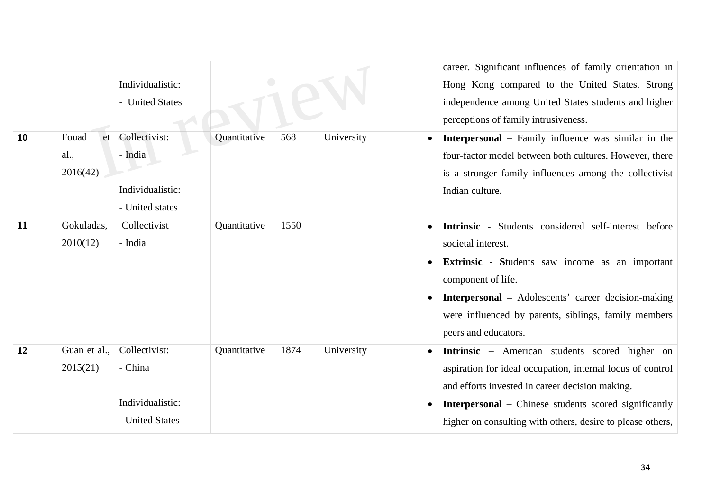|    |                                 | Individualistic:<br>- United States                             |              |      |            | career. Significant influences of family orientation in<br>Hong Kong compared to the United States. Strong<br>independence among United States students and higher<br>perceptions of family intrusiveness.                                                                                        |
|----|---------------------------------|-----------------------------------------------------------------|--------------|------|------------|---------------------------------------------------------------------------------------------------------------------------------------------------------------------------------------------------------------------------------------------------------------------------------------------------|
| 10 | Fouad<br>et<br>al.,<br>2016(42) | Collectivist:<br>- India<br>Individualistic:<br>- United states | Quantitative | 568  | University | <b>Interpersonal</b> – Family influence was similar in the<br>four-factor model between both cultures. However, there<br>is a stronger family influences among the collectivist<br>Indian culture.                                                                                                |
| 11 | Gokuladas,<br>2010(12)          | Collectivist<br>- India                                         | Quantitative | 1550 |            | Intrinsic - Students considered self-interest before<br>societal interest.<br>Extrinsic - Students saw income as an important<br>component of life.<br><b>Interpersonal</b> – Adolescents' career decision-making<br>were influenced by parents, siblings, family members<br>peers and educators. |
| 12 | Guan et al.,<br>2015(21)        | Collectivist:<br>- China<br>Individualistic:<br>- United States | Quantitative | 1874 | University | Intrinsic - American students scored higher on<br>aspiration for ideal occupation, internal locus of control<br>and efforts invested in career decision making.<br><b>Interpersonal</b> – Chinese students scored significantly<br>higher on consulting with others, desire to please others,     |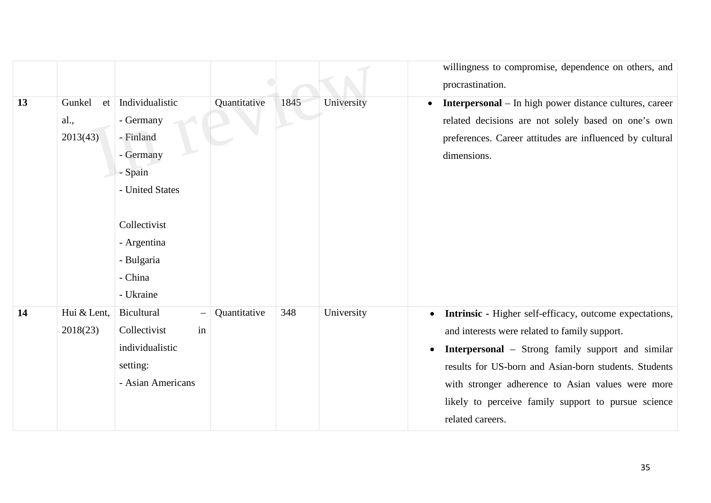|    |              |                    |              |      |            | willingness to compromise, dependence on others, and                        |
|----|--------------|--------------------|--------------|------|------------|-----------------------------------------------------------------------------|
|    |              |                    |              |      |            | procrastination.                                                            |
| 13 | Gunkel<br>et | Individualistic    | Quantitative | 1845 | University | <b>Interpersonal</b> – In high power distance cultures, career<br>$\bullet$ |
|    | al.,         | - Germany          |              |      |            | related decisions are not solely based on one's own                         |
|    | 2013(43)     | - Finland          |              |      |            | preferences. Career attitudes are influenced by cultural                    |
|    |              | - Germany          |              |      |            | dimensions.                                                                 |
|    |              | - Spain            |              |      |            |                                                                             |
|    |              | - United States    |              |      |            |                                                                             |
|    |              |                    |              |      |            |                                                                             |
|    |              | Collectivist       |              |      |            |                                                                             |
|    |              | - Argentina        |              |      |            |                                                                             |
|    |              | - Bulgaria         |              |      |            |                                                                             |
|    |              | - China            |              |      |            |                                                                             |
|    |              | - Ukraine          |              |      |            |                                                                             |
| 14 | Hui & Lent,  | Bicultural         | Quantitative | 348  | University | Intrinsic - Higher self-efficacy, outcome expectations,<br>$\bullet$        |
|    | 2018(23)     | in<br>Collectivist |              |      |            | and interests were related to family support.                               |
|    |              | individualistic    |              |      |            | <b>Interpersonal</b> – Strong family support and similar<br>$\bullet$       |
|    |              | setting:           |              |      |            | results for US-born and Asian-born students. Students                       |
|    |              | - Asian Americans  |              |      |            | with stronger adherence to Asian values were more                           |
|    |              |                    |              |      |            | likely to perceive family support to pursue science                         |
|    |              |                    |              |      |            | related careers.                                                            |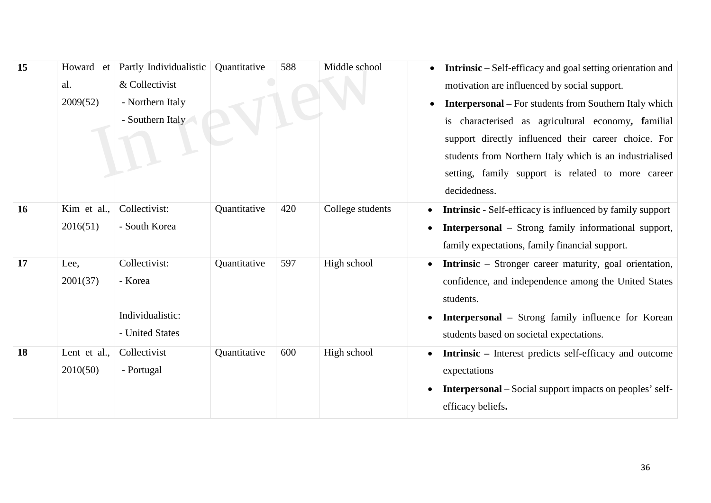| 15 | Howard et    | Partly Individualistic | Quantitative | 588 | Middle school    | <b>Intrinsic</b> – Self-efficacy and goal setting orientation and           |
|----|--------------|------------------------|--------------|-----|------------------|-----------------------------------------------------------------------------|
|    | al.          | & Collectivist         |              |     |                  | motivation are influenced by social support.                                |
|    | 2009(52)     | - Northern Italy       |              |     |                  | <b>Interpersonal</b> - For students from Southern Italy which               |
|    |              | - Southern Italy       |              |     |                  | is characterised as agricultural economy, familial                          |
|    |              |                        |              |     |                  | support directly influenced their career choice. For                        |
|    |              |                        |              |     |                  | students from Northern Italy which is an industrialised                     |
|    |              |                        |              |     |                  | setting, family support is related to more career                           |
|    |              |                        |              |     |                  | decidedness.                                                                |
| 16 | Kim et al.,  | Collectivist:          | Quantitative | 420 | College students | <b>Intrinsic</b> - Self-efficacy is influenced by family support            |
|    | 2016(51)     | - South Korea          |              |     |                  | <b>Interpersonal</b> – Strong family informational support,                 |
|    |              |                        |              |     |                  | family expectations, family financial support.                              |
| 17 | Lee,         | Collectivist:          | Quantitative | 597 | High school      | <b>Intrinsic</b> – Stronger career maturity, goal orientation,<br>$\bullet$ |
|    | 2001(37)     | - Korea                |              |     |                  | confidence, and independence among the United States                        |
|    |              |                        |              |     |                  | students.                                                                   |
|    |              | Individualistic:       |              |     |                  | <b>Interpersonal</b> – Strong family influence for Korean                   |
|    |              | - United States        |              |     |                  | students based on societal expectations.                                    |
| 18 | Lent et al., | Collectivist           | Quantitative | 600 | High school      | <b>Intrinsic</b> – Interest predicts self-efficacy and outcome              |
|    | 2010(50)     | - Portugal             |              |     |                  | expectations                                                                |
|    |              |                        |              |     |                  | <b>Interpersonal</b> – Social support impacts on peoples' self-             |
|    |              |                        |              |     |                  | efficacy beliefs.                                                           |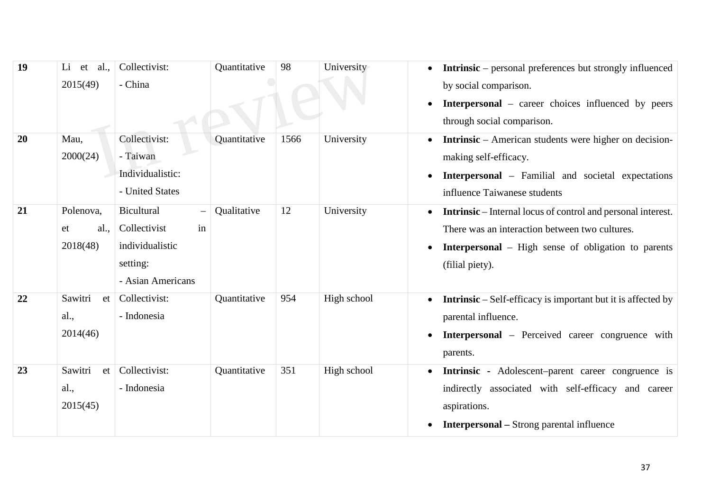| 19 | al.,<br>Li<br>et<br>2015(49)        | Collectivist:<br>- China                                                             | Quantitative | 98   | University  | <b>Intrinsic</b> – personal preferences but strongly influenced<br>by social comparison.<br><b>Interpersonal</b> – career choices influenced by peers<br>through social comparison.                    |
|----|-------------------------------------|--------------------------------------------------------------------------------------|--------------|------|-------------|--------------------------------------------------------------------------------------------------------------------------------------------------------------------------------------------------------|
| 20 | Mau,<br>2000(24)                    | Collectivist:<br>- Taiwan<br>Individualistic:<br>- United States                     | Quantitative | 1566 | University  | <b>Intrinsic</b> – American students were higher on decision-<br>making self-efficacy.<br><b>Interpersonal</b> – Familial and societal expectations<br>influence Taiwanese students                    |
| 21 | Polenova,<br>al.,<br>et<br>2018(48) | Bicultural<br>in<br>Collectivist<br>individualistic<br>setting:<br>- Asian Americans | Qualitative  | 12   | University  | <b>Intrinsic</b> – Internal locus of control and personal interest.<br>There was an interaction between two cultures.<br><b>Interpersonal</b> – High sense of obligation to parents<br>(filial piety). |
| 22 | Sawitri<br>et<br>al.,<br>2014(46)   | Collectivist:<br>- Indonesia                                                         | Quantitative | 954  | High school | <b>Intrinsic</b> – Self-efficacy is important but it is affected by<br>parental influence.<br><b>Interpersonal</b> – Perceived career congruence with<br>parents.                                      |
| 23 | Sawitri<br>et<br>al.,<br>2015(45)   | Collectivist:<br>- Indonesia                                                         | Quantitative | 351  | High school | Intrinsic - Adolescent-parent career congruence is<br>indirectly associated with self-efficacy and career<br>aspirations.<br><b>Interpersonal</b> - Strong parental influence<br>$\bullet$             |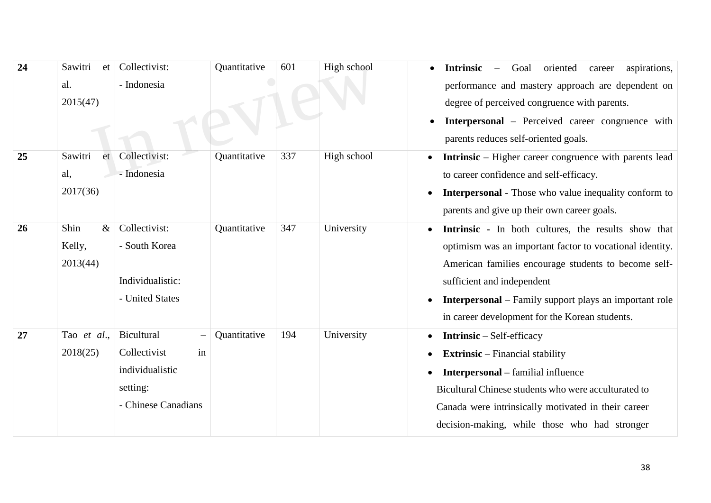| 24 | Sawitri<br>et | Collectivist:       | Quantitative | 601 | High school | oriented<br>aspirations,<br><b>Intrinsic</b><br>Goal<br>career<br>$\overline{\phantom{m}}$ |
|----|---------------|---------------------|--------------|-----|-------------|--------------------------------------------------------------------------------------------|
|    | al.           | - Indonesia         |              |     |             | performance and mastery approach are dependent on                                          |
|    | 2015(47)      |                     |              |     |             | degree of perceived congruence with parents.                                               |
|    |               |                     |              |     |             | <b>Interpersonal</b> – Perceived career congruence with                                    |
|    |               |                     |              |     |             | parents reduces self-oriented goals.                                                       |
| 25 | Sawitri<br>et | Collectivist:       | Quantitative | 337 | High school | <b>Intrinsic</b> – Higher career congruence with parents lead                              |
|    | al,           | - Indonesia         |              |     |             | to career confidence and self-efficacy.                                                    |
|    | 2017(36)      |                     |              |     |             | <b>Interpersonal</b> - Those who value inequality conform to                               |
|    |               |                     |              |     |             | parents and give up their own career goals.                                                |
| 26 | Shin<br>$\&$  | Collectivist:       | Quantitative | 347 | University  | Intrinsic - In both cultures, the results show that                                        |
|    | Kelly,        | - South Korea       |              |     |             | optimism was an important factor to vocational identity.                                   |
|    | 2013(44)      |                     |              |     |             | American families encourage students to become self-                                       |
|    |               | Individualistic:    |              |     |             | sufficient and independent                                                                 |
|    |               | - United States     |              |     |             | <b>Interpersonal</b> – Family support plays an important role                              |
|    |               |                     |              |     |             | in career development for the Korean students.                                             |
| 27 | Tao et al.,   | Bicultural          | Quantitative | 194 | University  | <b>Intrinsic</b> – Self-efficacy                                                           |
|    | 2018(25)      | in<br>Collectivist  |              |     |             | <b>Extrinsic</b> – Financial stability                                                     |
|    |               | individualistic     |              |     |             | <b>Interpersonal</b> – familial influence                                                  |
|    |               | setting:            |              |     |             | Bicultural Chinese students who were acculturated to                                       |
|    |               | - Chinese Canadians |              |     |             | Canada were intrinsically motivated in their career                                        |
|    |               |                     |              |     |             | decision-making, while those who had stronger                                              |
|    |               |                     |              |     |             |                                                                                            |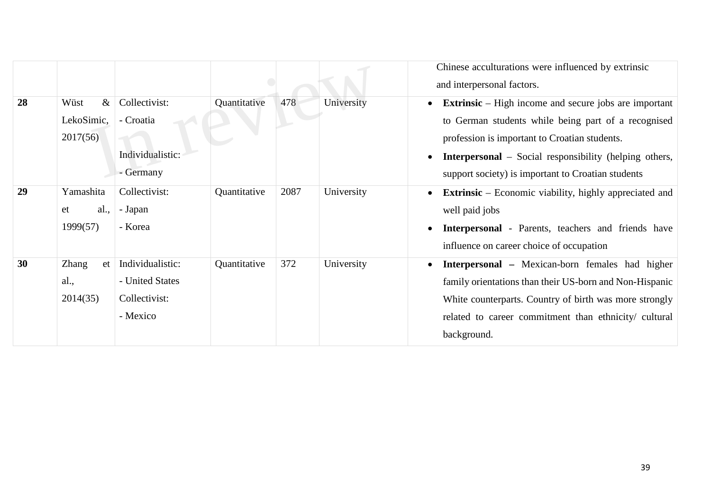|    |                                        |                                                                  |              |      |            | Chinese acculturations were influenced by extrinsic<br>and interpersonal factors.                                                                                                                                                                                                           |
|----|----------------------------------------|------------------------------------------------------------------|--------------|------|------------|---------------------------------------------------------------------------------------------------------------------------------------------------------------------------------------------------------------------------------------------------------------------------------------------|
| 28 | $\&$<br>Wüst<br>LekoSimic,<br>2017(56) | Collectivist:<br>- Croatia<br>Individualistic:<br>- Germany      | Quantitative | 478  | University | <b>Extrinsic</b> – High income and secure jobs are important<br>to German students while being part of a recognised<br>profession is important to Croatian students.<br><b>Interpersonal</b> – Social responsibility (helping others,<br>support society) is important to Croatian students |
| 29 | Yamashita<br>al.,<br>et<br>1999(57)    | Collectivist:<br>- Japan<br>- Korea                              | Quantitative | 2087 | University | <b>Extrinsic</b> – Economic viability, highly appreciated and<br>$\bullet$<br>well paid jobs<br>Interpersonal - Parents, teachers and friends have<br>influence on career choice of occupation                                                                                              |
| 30 | <b>Zhang</b><br>et<br>al.,<br>2014(35) | Individualistic:<br>- United States<br>Collectivist:<br>- Mexico | Quantitative | 372  | University | <b>Interpersonal</b> – Mexican-born females had higher<br>family orientations than their US-born and Non-Hispanic<br>White counterparts. Country of birth was more strongly<br>related to career commitment than ethnicity/ cultural<br>background.                                         |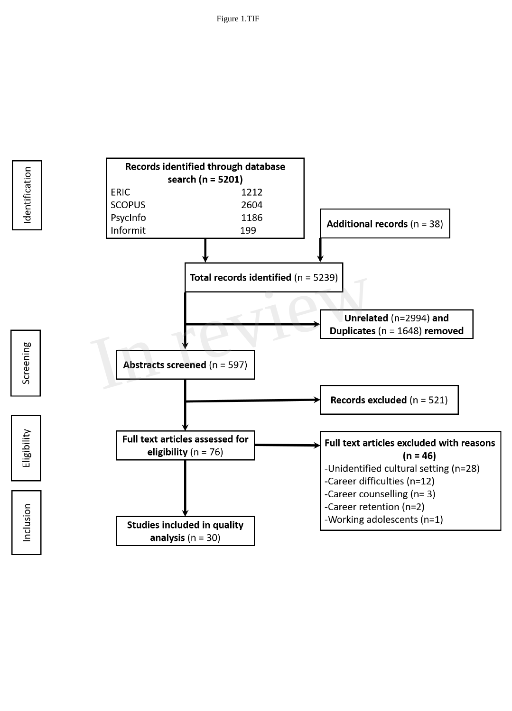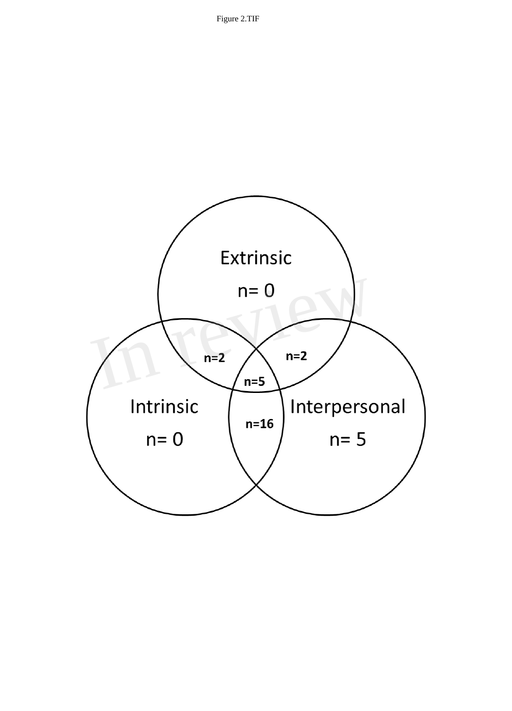